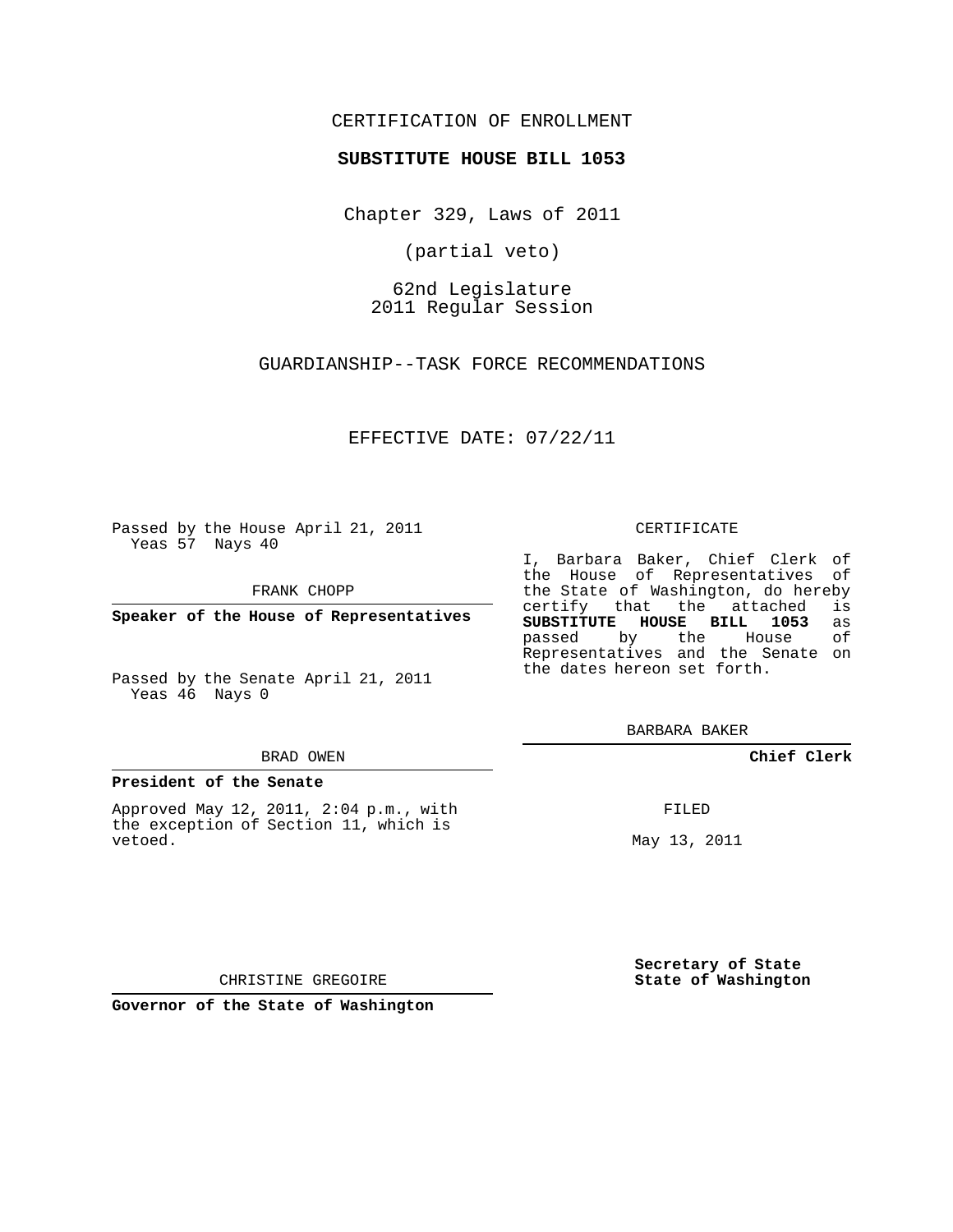## CERTIFICATION OF ENROLLMENT

### **SUBSTITUTE HOUSE BILL 1053**

Chapter 329, Laws of 2011

(partial veto)

62nd Legislature 2011 Regular Session

GUARDIANSHIP--TASK FORCE RECOMMENDATIONS

EFFECTIVE DATE: 07/22/11

Passed by the House April 21, 2011 Yeas 57 Nays 40

FRANK CHOPP

**Speaker of the House of Representatives**

Passed by the Senate April 21, 2011 Yeas 46 Nays 0

#### BRAD OWEN

#### **President of the Senate**

Approved May 12, 2011, 2:04 p.m., with the exception of Section 11, which is vetoed.

#### CERTIFICATE

I, Barbara Baker, Chief Clerk of the House of Representatives of the State of Washington, do hereby<br>certify that the attached is certify that the attached **SUBSTITUTE HOUSE BILL 1053** as passed by the House Representatives and the Senate on the dates hereon set forth.

BARBARA BAKER

**Chief Clerk**

FILED

May 13, 2011

**Secretary of State State of Washington**

CHRISTINE GREGOIRE

**Governor of the State of Washington**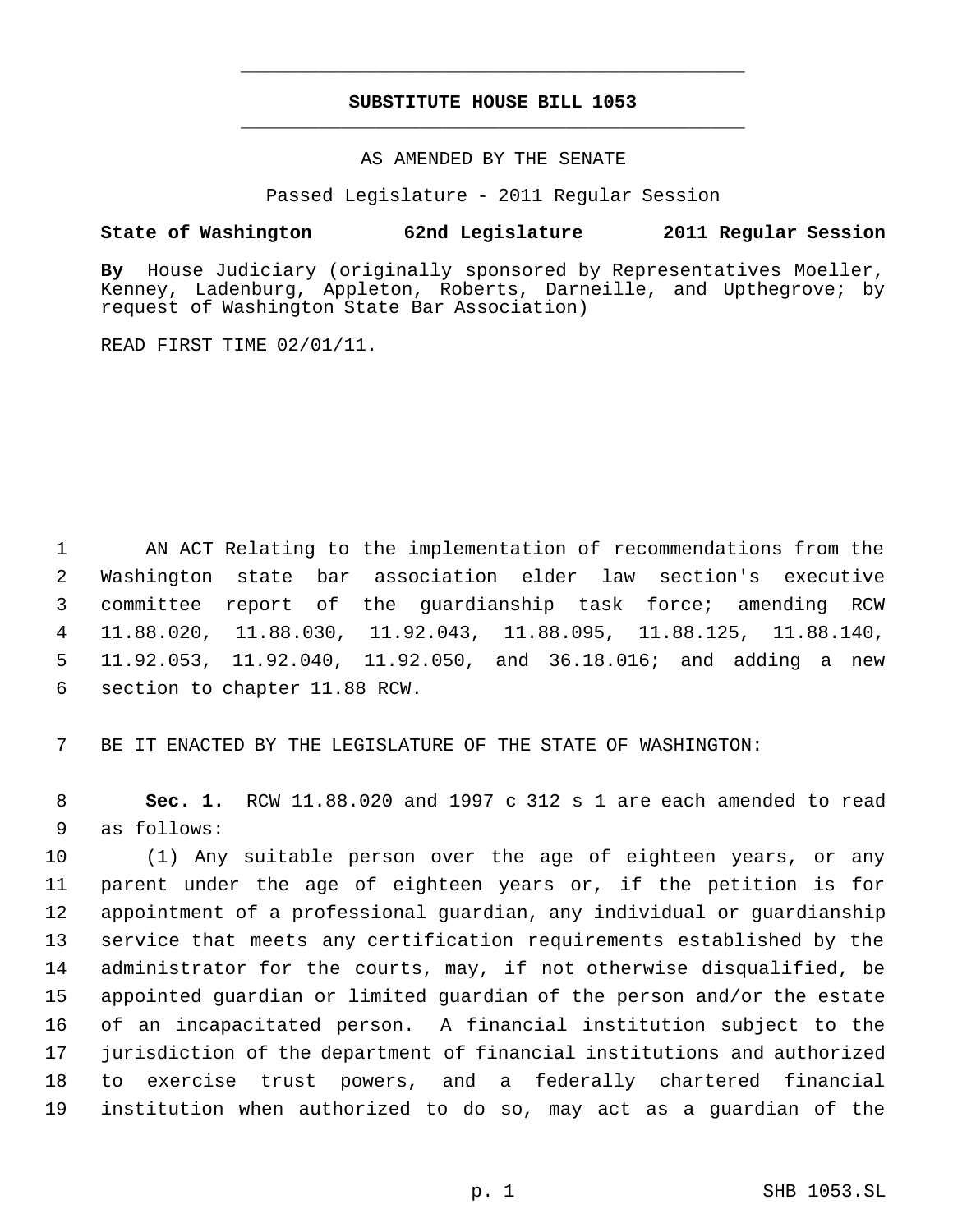# **SUBSTITUTE HOUSE BILL 1053** \_\_\_\_\_\_\_\_\_\_\_\_\_\_\_\_\_\_\_\_\_\_\_\_\_\_\_\_\_\_\_\_\_\_\_\_\_\_\_\_\_\_\_\_\_

\_\_\_\_\_\_\_\_\_\_\_\_\_\_\_\_\_\_\_\_\_\_\_\_\_\_\_\_\_\_\_\_\_\_\_\_\_\_\_\_\_\_\_\_\_

### AS AMENDED BY THE SENATE

Passed Legislature - 2011 Regular Session

## **State of Washington 62nd Legislature 2011 Regular Session**

**By** House Judiciary (originally sponsored by Representatives Moeller, Kenney, Ladenburg, Appleton, Roberts, Darneille, and Upthegrove; by request of Washington State Bar Association)

READ FIRST TIME 02/01/11.

 AN ACT Relating to the implementation of recommendations from the Washington state bar association elder law section's executive committee report of the guardianship task force; amending RCW 11.88.020, 11.88.030, 11.92.043, 11.88.095, 11.88.125, 11.88.140, 11.92.053, 11.92.040, 11.92.050, and 36.18.016; and adding a new section to chapter 11.88 RCW.

BE IT ENACTED BY THE LEGISLATURE OF THE STATE OF WASHINGTON:

 **Sec. 1.** RCW 11.88.020 and 1997 c 312 s 1 are each amended to read as follows:

 (1) Any suitable person over the age of eighteen years, or any parent under the age of eighteen years or, if the petition is for appointment of a professional guardian, any individual or guardianship service that meets any certification requirements established by the administrator for the courts, may, if not otherwise disqualified, be appointed guardian or limited guardian of the person and/or the estate of an incapacitated person. A financial institution subject to the jurisdiction of the department of financial institutions and authorized to exercise trust powers, and a federally chartered financial institution when authorized to do so, may act as a guardian of the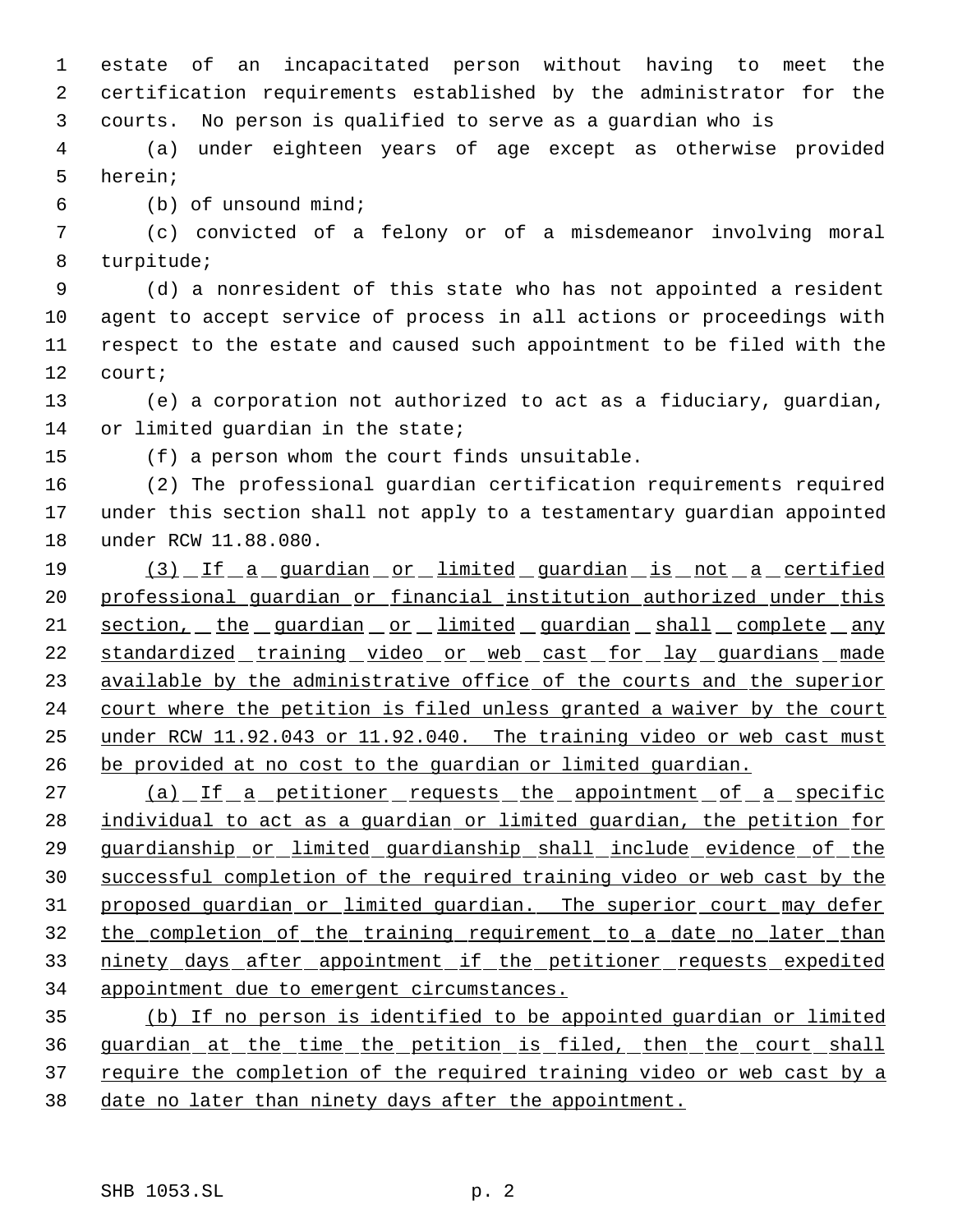estate of an incapacitated person without having to meet the certification requirements established by the administrator for the courts. No person is qualified to serve as a guardian who is

 (a) under eighteen years of age except as otherwise provided herein;

(b) of unsound mind;

 (c) convicted of a felony or of a misdemeanor involving moral turpitude;

 (d) a nonresident of this state who has not appointed a resident agent to accept service of process in all actions or proceedings with respect to the estate and caused such appointment to be filed with the court;

 (e) a corporation not authorized to act as a fiduciary, guardian, 14 or limited quardian in the state;

(f) a person whom the court finds unsuitable.

 (2) The professional guardian certification requirements required under this section shall not apply to a testamentary guardian appointed under RCW 11.88.080.

19 (3) If a guardian or limited guardian is not a certified professional guardian or financial institution authorized under this 21 section, the guardian or limited guardian shall complete any 22 standardized training video or web cast for lay guardians made 23 available by the administrative office of the courts and the superior 24 court where the petition is filed unless granted a waiver by the court under RCW 11.92.043 or 11.92.040. The training video or web cast must be provided at no cost to the guardian or limited guardian.

27 (a) If a petitioner requests the appointment of a specific 28 individual to act as a guardian or limited guardian, the petition for guardianship or limited guardianship shall include evidence of the successful completion of the required training video or web cast by the proposed guardian or limited guardian. The superior court may defer the completion of the training requirement to a date no later than 33 ninety days after appointment if the petitioner requests expedited appointment due to emergent circumstances.

 (b) If no person is identified to be appointed guardian or limited guardian at the time the petition is filed, then the court shall 37 require the completion of the required training video or web cast by a date no later than ninety days after the appointment.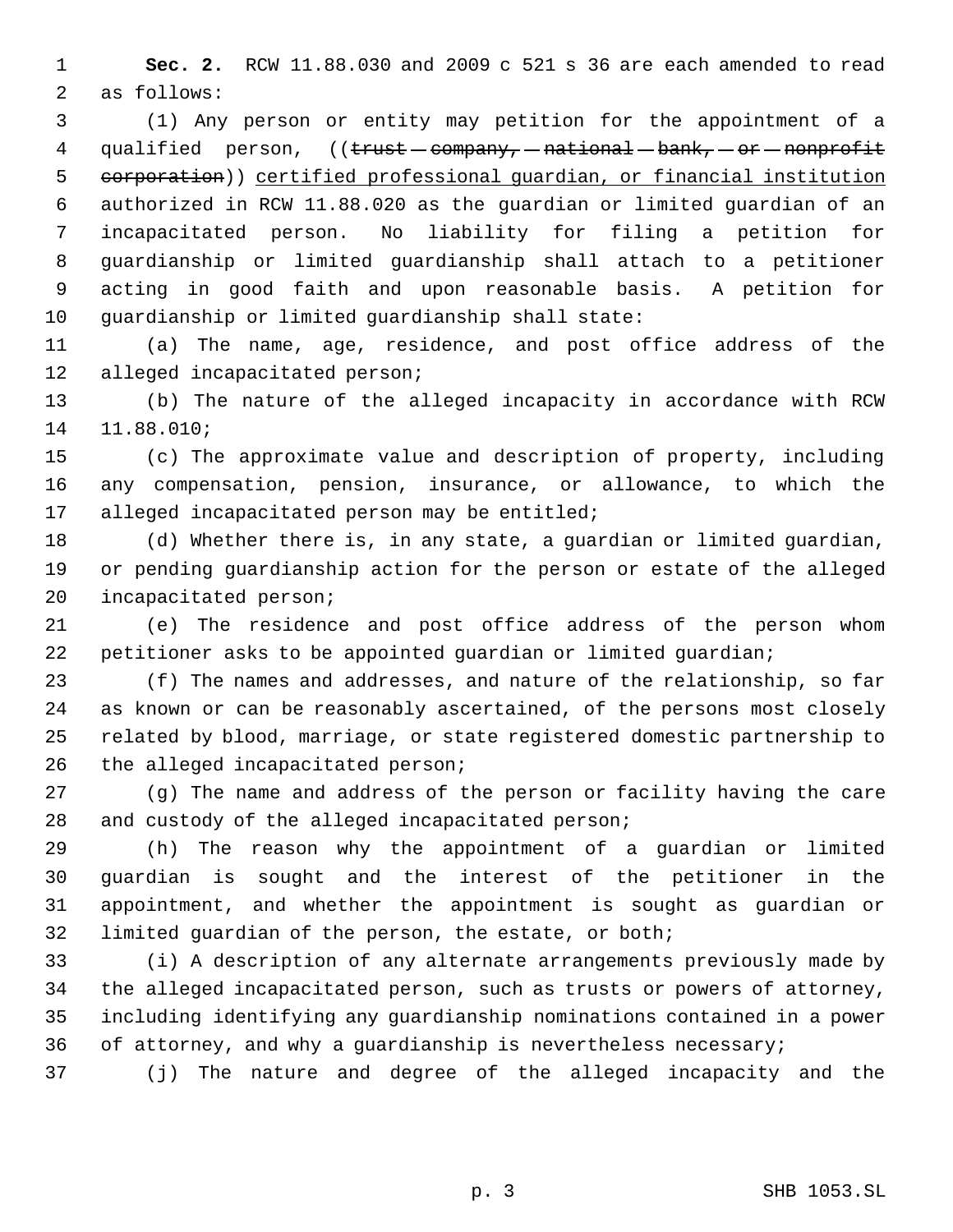**Sec. 2.** RCW 11.88.030 and 2009 c 521 s 36 are each amended to read as follows:

 (1) Any person or entity may petition for the appointment of a 4 qualified person,  $((\text{trust}-\text{common})-\text{natural}-\text{bank}, -\text{or}-\text{nonprofit}})$  corporation)) certified professional guardian, or financial institution authorized in RCW 11.88.020 as the guardian or limited guardian of an incapacitated person. No liability for filing a petition for guardianship or limited guardianship shall attach to a petitioner acting in good faith and upon reasonable basis. A petition for guardianship or limited guardianship shall state:

 (a) The name, age, residence, and post office address of the alleged incapacitated person;

 (b) The nature of the alleged incapacity in accordance with RCW 11.88.010;

 (c) The approximate value and description of property, including any compensation, pension, insurance, or allowance, to which the 17 alleged incapacitated person may be entitled;

 (d) Whether there is, in any state, a guardian or limited guardian, or pending guardianship action for the person or estate of the alleged incapacitated person;

 (e) The residence and post office address of the person whom petitioner asks to be appointed guardian or limited guardian;

 (f) The names and addresses, and nature of the relationship, so far as known or can be reasonably ascertained, of the persons most closely related by blood, marriage, or state registered domestic partnership to 26 the alleged incapacitated person;

 (g) The name and address of the person or facility having the care and custody of the alleged incapacitated person;

 (h) The reason why the appointment of a guardian or limited guardian is sought and the interest of the petitioner in the appointment, and whether the appointment is sought as guardian or limited guardian of the person, the estate, or both;

 (i) A description of any alternate arrangements previously made by the alleged incapacitated person, such as trusts or powers of attorney, including identifying any guardianship nominations contained in a power of attorney, and why a guardianship is nevertheless necessary;

(j) The nature and degree of the alleged incapacity and the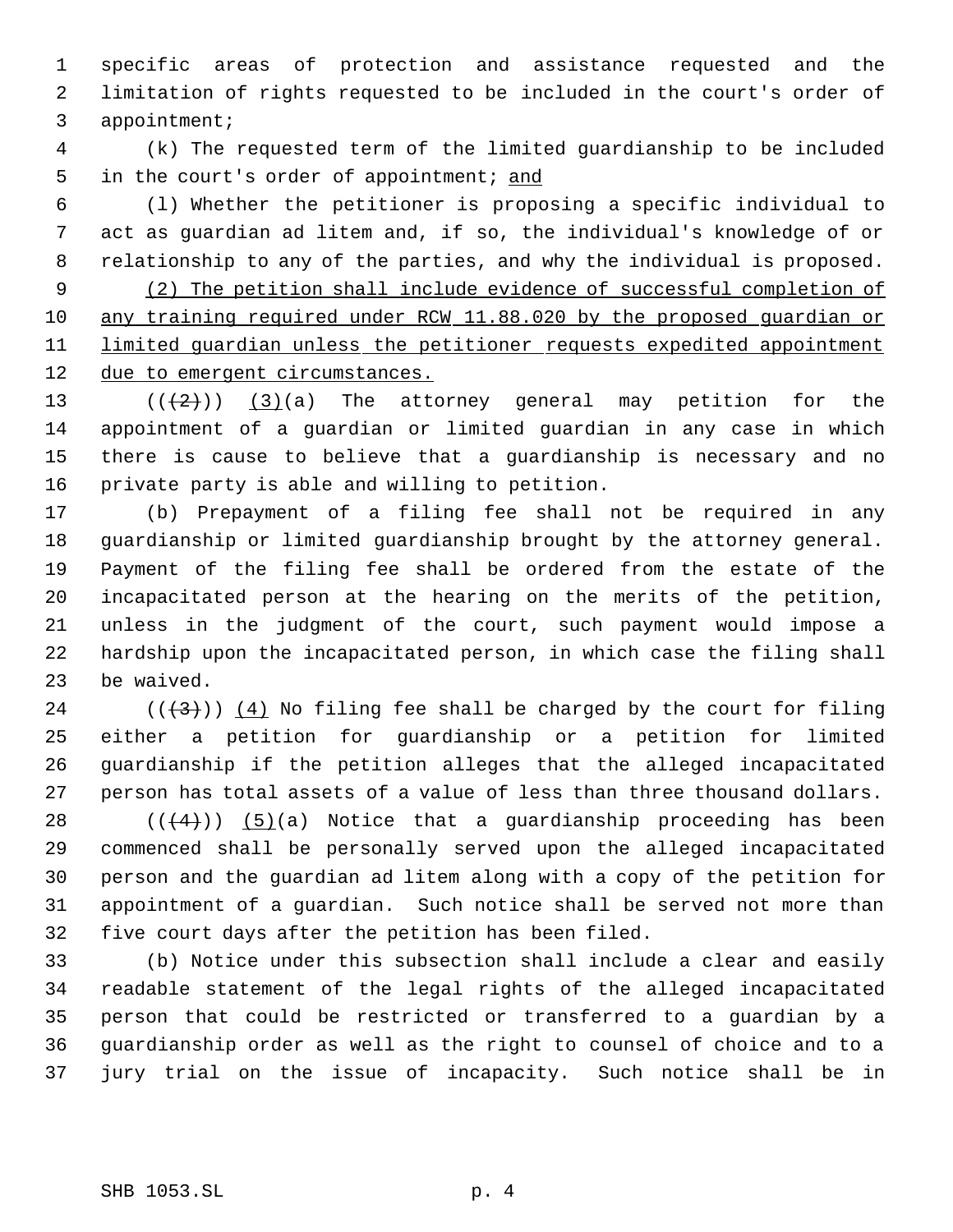specific areas of protection and assistance requested and the limitation of rights requested to be included in the court's order of appointment;

 (k) The requested term of the limited guardianship to be included 5 in the court's order of appointment; and

 (l) Whether the petitioner is proposing a specific individual to act as guardian ad litem and, if so, the individual's knowledge of or relationship to any of the parties, and why the individual is proposed.

 (2) The petition shall include evidence of successful completion of any training required under RCW 11.88.020 by the proposed guardian or 11 limited guardian unless the petitioner requests expedited appointment 12 due to emergent circumstances.

 $((+2))$   $(3)(a)$  The attorney general may petition for the appointment of a guardian or limited guardian in any case in which there is cause to believe that a guardianship is necessary and no private party is able and willing to petition.

 (b) Prepayment of a filing fee shall not be required in any guardianship or limited guardianship brought by the attorney general. Payment of the filing fee shall be ordered from the estate of the incapacitated person at the hearing on the merits of the petition, unless in the judgment of the court, such payment would impose a hardship upon the incapacitated person, in which case the filing shall be waived.

24 ( $(\frac{43}{})$ ) (4) No filing fee shall be charged by the court for filing either a petition for guardianship or a petition for limited guardianship if the petition alleges that the alleged incapacitated person has total assets of a value of less than three thousand dollars.

 $((+4))$   $(5)(a)$  Notice that a guardianship proceeding has been commenced shall be personally served upon the alleged incapacitated person and the guardian ad litem along with a copy of the petition for appointment of a guardian. Such notice shall be served not more than five court days after the petition has been filed.

 (b) Notice under this subsection shall include a clear and easily readable statement of the legal rights of the alleged incapacitated person that could be restricted or transferred to a guardian by a guardianship order as well as the right to counsel of choice and to a jury trial on the issue of incapacity. Such notice shall be in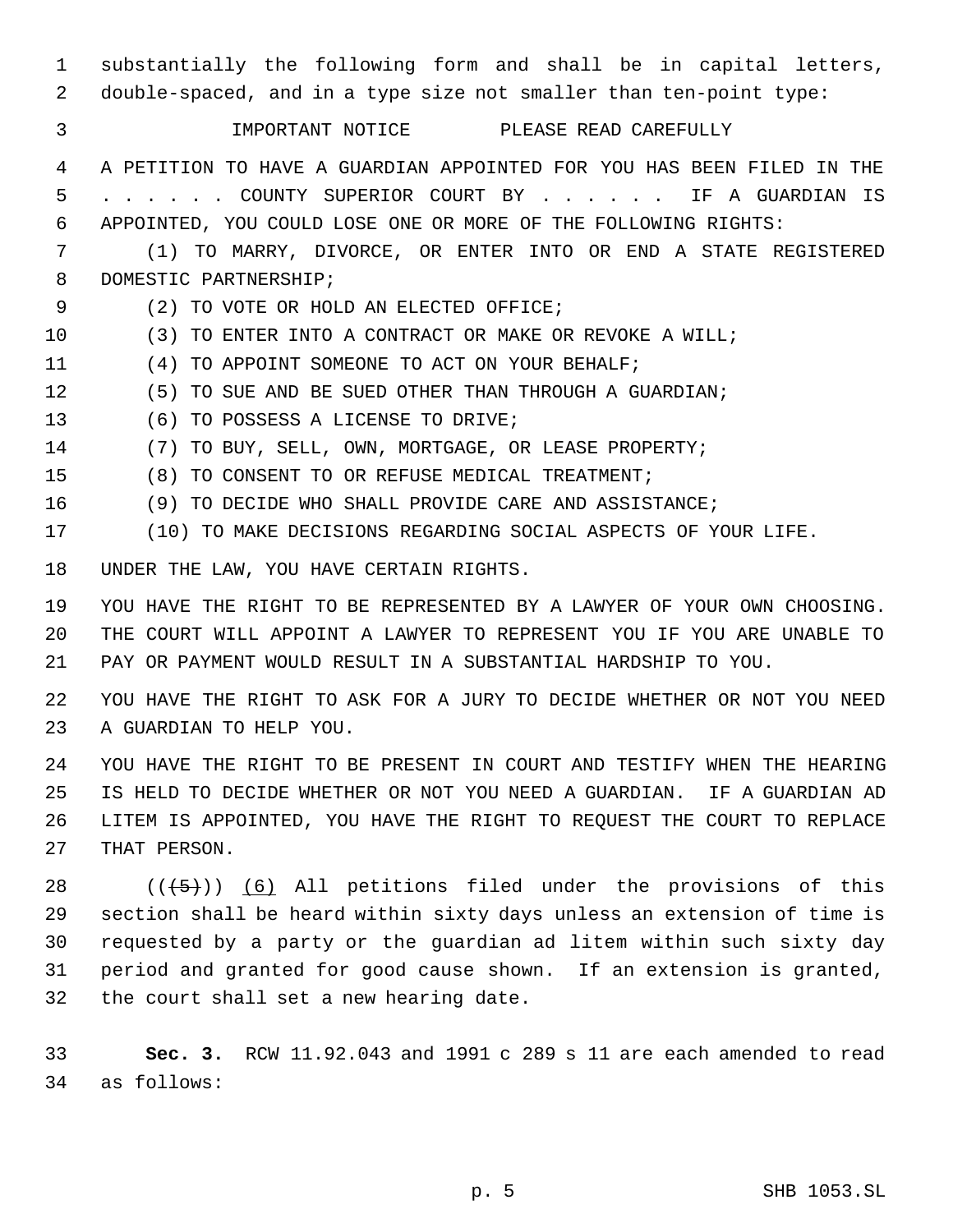| 1<br>2                     | substantially the following form and shall be in capital letters,<br>double-spaced, and in a type size not smaller than ten-point type:                                                                                                                                                                                            |
|----------------------------|------------------------------------------------------------------------------------------------------------------------------------------------------------------------------------------------------------------------------------------------------------------------------------------------------------------------------------|
| 3                          | IMPORTANT NOTICE PLEASE READ CAREFULLY                                                                                                                                                                                                                                                                                             |
| 4<br>5                     | A PETITION TO HAVE A GUARDIAN APPOINTED FOR YOU HAS BEEN FILED IN THE<br>. COUNTY SUPERIOR COURT BY<br>IF A GUARDIAN<br>IS                                                                                                                                                                                                         |
| 6<br>7                     | APPOINTED, YOU COULD LOSE ONE OR MORE OF THE FOLLOWING RIGHTS:<br>TO MARRY, DIVORCE, OR ENTER INTO OR END A STATE REGISTERED                                                                                                                                                                                                       |
| 8                          | (1)<br>DOMESTIC PARTNERSHIP;                                                                                                                                                                                                                                                                                                       |
| 9                          | (2) TO VOTE OR HOLD AN ELECTED OFFICE;                                                                                                                                                                                                                                                                                             |
| 10                         | (3) TO ENTER INTO A CONTRACT OR MAKE OR REVOKE A WILL;                                                                                                                                                                                                                                                                             |
| 11                         | TO APPOINT SOMEONE TO ACT ON YOUR BEHALF;<br>(4)                                                                                                                                                                                                                                                                                   |
| 12                         | TO SUE AND BE SUED OTHER THAN THROUGH A GUARDIAN;<br>(5)                                                                                                                                                                                                                                                                           |
| 13                         | TO POSSESS A LICENSE TO DRIVE;<br>(6)                                                                                                                                                                                                                                                                                              |
| 14                         | TO BUY, SELL, OWN, MORTGAGE, OR LEASE PROPERTY;<br>(7)                                                                                                                                                                                                                                                                             |
| 15                         | TO CONSENT TO OR REFUSE MEDICAL TREATMENT;<br>(8)                                                                                                                                                                                                                                                                                  |
| 16                         | (9) TO DECIDE WHO SHALL PROVIDE CARE AND ASSISTANCE;                                                                                                                                                                                                                                                                               |
| 17                         | (10) TO MAKE DECISIONS REGARDING SOCIAL ASPECTS OF YOUR LIFE.                                                                                                                                                                                                                                                                      |
| 18                         | UNDER THE LAW, YOU HAVE CERTAIN RIGHTS.                                                                                                                                                                                                                                                                                            |
| 19<br>20<br>21             | YOU HAVE THE RIGHT TO BE REPRESENTED BY A LAWYER OF YOUR OWN CHOOSING.<br>THE COURT WILL APPOINT A LAWYER TO REPRESENT YOU IF YOU ARE UNABLE TO<br>PAY OR PAYMENT WOULD RESULT IN A SUBSTANTIAL HARDSHIP TO YOU.                                                                                                                   |
| 22<br>23                   | YOU HAVE THE RIGHT TO ASK FOR A JURY TO DECIDE WHETHER OR NOT YOU NEED<br>A GUARDIAN TO HELP YOU.                                                                                                                                                                                                                                  |
| 24<br>25<br>26<br>27       | YOU HAVE THE RIGHT TO BE PRESENT IN COURT AND TESTIFY WHEN THE HEARING<br>IS HELD TO DECIDE WHETHER OR NOT YOU NEED A GUARDIAN. IF A GUARDIAN AD<br>LITEM IS APPOINTED, YOU HAVE THE RIGHT TO REQUEST THE COURT TO REPLACE<br>THAT PERSON.                                                                                         |
| 28<br>29<br>30<br>31<br>32 | $((+5))$ (6) All petitions filed under the provisions of this<br>section shall be heard within sixty days unless an extension of time is<br>requested by a party or the quardian ad litem within such sixty day<br>period and granted for good cause shown. If an extension is granted,<br>the court shall set a new hearing date. |
| 33<br>34                   | Sec. 3. RCW 11.92.043 and 1991 c 289 s 11 are each amended to read<br>as follows:                                                                                                                                                                                                                                                  |

p. 5 SHB 1053.SL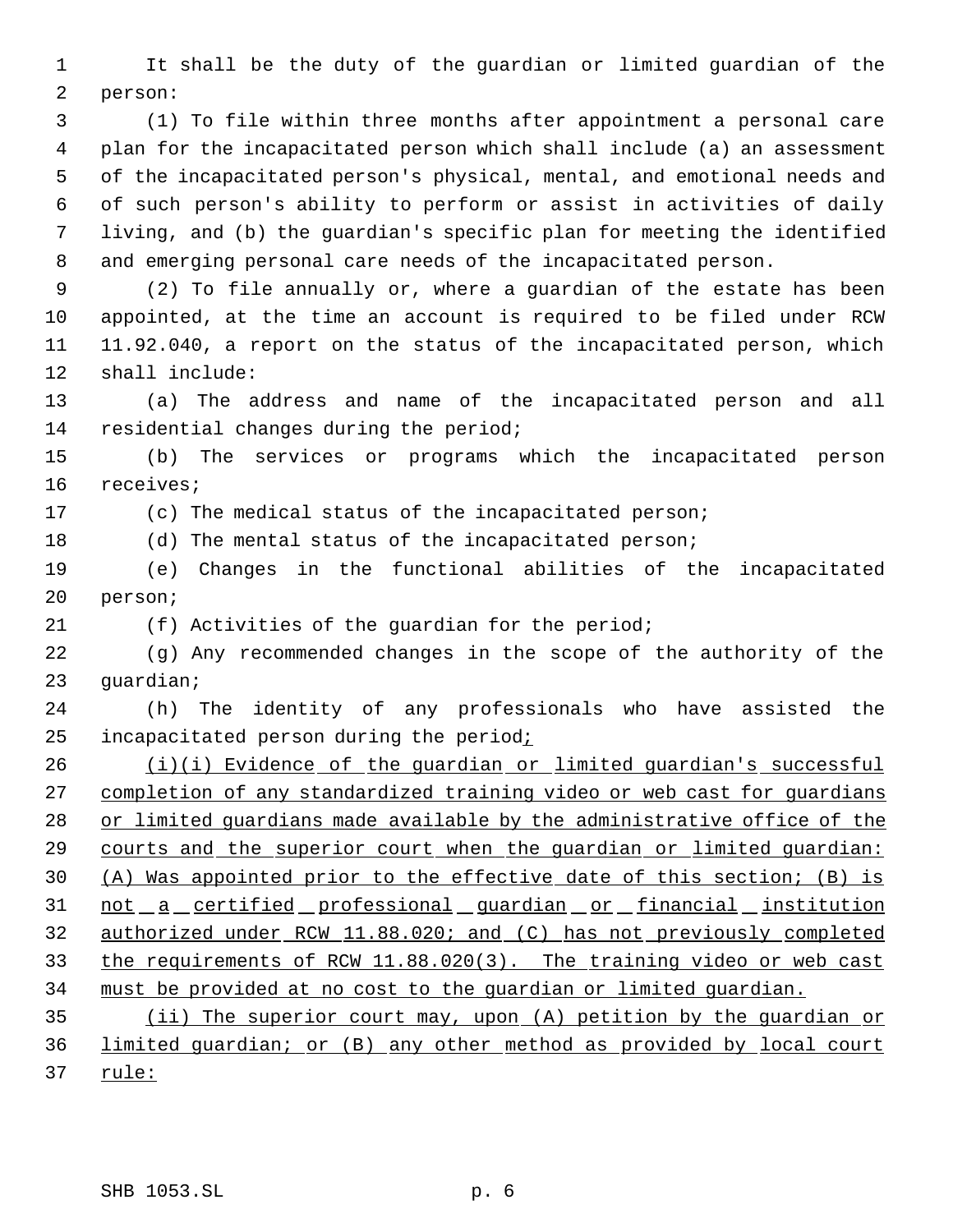It shall be the duty of the guardian or limited guardian of the person:

 (1) To file within three months after appointment a personal care plan for the incapacitated person which shall include (a) an assessment of the incapacitated person's physical, mental, and emotional needs and of such person's ability to perform or assist in activities of daily living, and (b) the guardian's specific plan for meeting the identified and emerging personal care needs of the incapacitated person.

 (2) To file annually or, where a guardian of the estate has been appointed, at the time an account is required to be filed under RCW 11.92.040, a report on the status of the incapacitated person, which shall include:

 (a) The address and name of the incapacitated person and all residential changes during the period;

 (b) The services or programs which the incapacitated person receives;

(c) The medical status of the incapacitated person;

(d) The mental status of the incapacitated person;

 (e) Changes in the functional abilities of the incapacitated person;

(f) Activities of the guardian for the period;

 (g) Any recommended changes in the scope of the authority of the guardian;

 (h) The identity of any professionals who have assisted the incapacitated person during the period;

26 (i)(i) Evidence of the guardian or limited guardian's successful completion of any standardized training video or web cast for guardians 28 or limited guardians made available by the administrative office of the courts and the superior court when the guardian or limited guardian: (A) Was appointed prior to the effective date of this section; (B) is 31 not a certified professional guardian or financial institution authorized under RCW 11.88.020; and (C) has not previously completed the requirements of RCW 11.88.020(3). The training video or web cast must be provided at no cost to the guardian or limited guardian.

 (ii) The superior court may, upon (A) petition by the guardian or limited guardian; or (B) any other method as provided by local court 37 rule: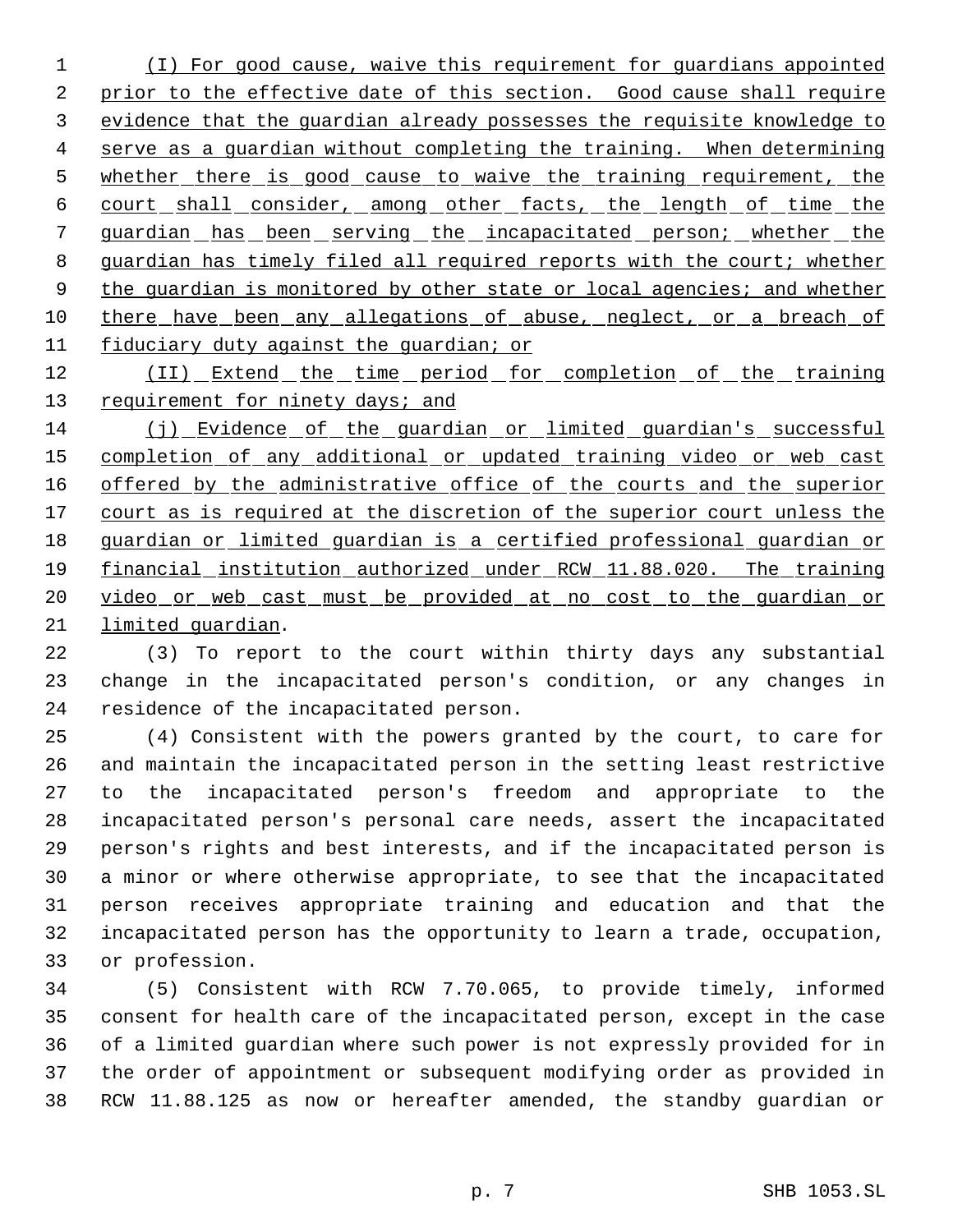(I) For good cause, waive this requirement for guardians appointed 2 prior to the effective date of this section. Good cause shall require evidence that the guardian already possesses the requisite knowledge to serve as a guardian without completing the training. When determining 5 whether there is good cause to waive the training requirement, the 6 court shall consider, among other facts, the length of time the guardian has been serving the incapacitated person; whether the 8 guardian has timely filed all required reports with the court; whether 9 the guardian is monitored by other state or local agencies; and whether 10 there have been any allegations of abuse, neglect, or a breach of fiduciary duty against the guardian; or

12 (II) Extend the time period for completion of the training 13 requirement for ninety days; and

 (j) Evidence of the guardian or limited guardian's successful 15 completion of any additional or updated training video or web cast 16 offered by the administrative office of the courts and the superior 17 court as is required at the discretion of the superior court unless the guardian or limited guardian is a certified professional guardian or financial institution authorized under RCW 11.88.020. The training 20 video or web cast must be provided at no cost to the guardian or limited guardian.

 (3) To report to the court within thirty days any substantial change in the incapacitated person's condition, or any changes in residence of the incapacitated person.

 (4) Consistent with the powers granted by the court, to care for and maintain the incapacitated person in the setting least restrictive to the incapacitated person's freedom and appropriate to the incapacitated person's personal care needs, assert the incapacitated person's rights and best interests, and if the incapacitated person is a minor or where otherwise appropriate, to see that the incapacitated person receives appropriate training and education and that the incapacitated person has the opportunity to learn a trade, occupation, or profession.

 (5) Consistent with RCW 7.70.065, to provide timely, informed consent for health care of the incapacitated person, except in the case of a limited guardian where such power is not expressly provided for in the order of appointment or subsequent modifying order as provided in RCW 11.88.125 as now or hereafter amended, the standby guardian or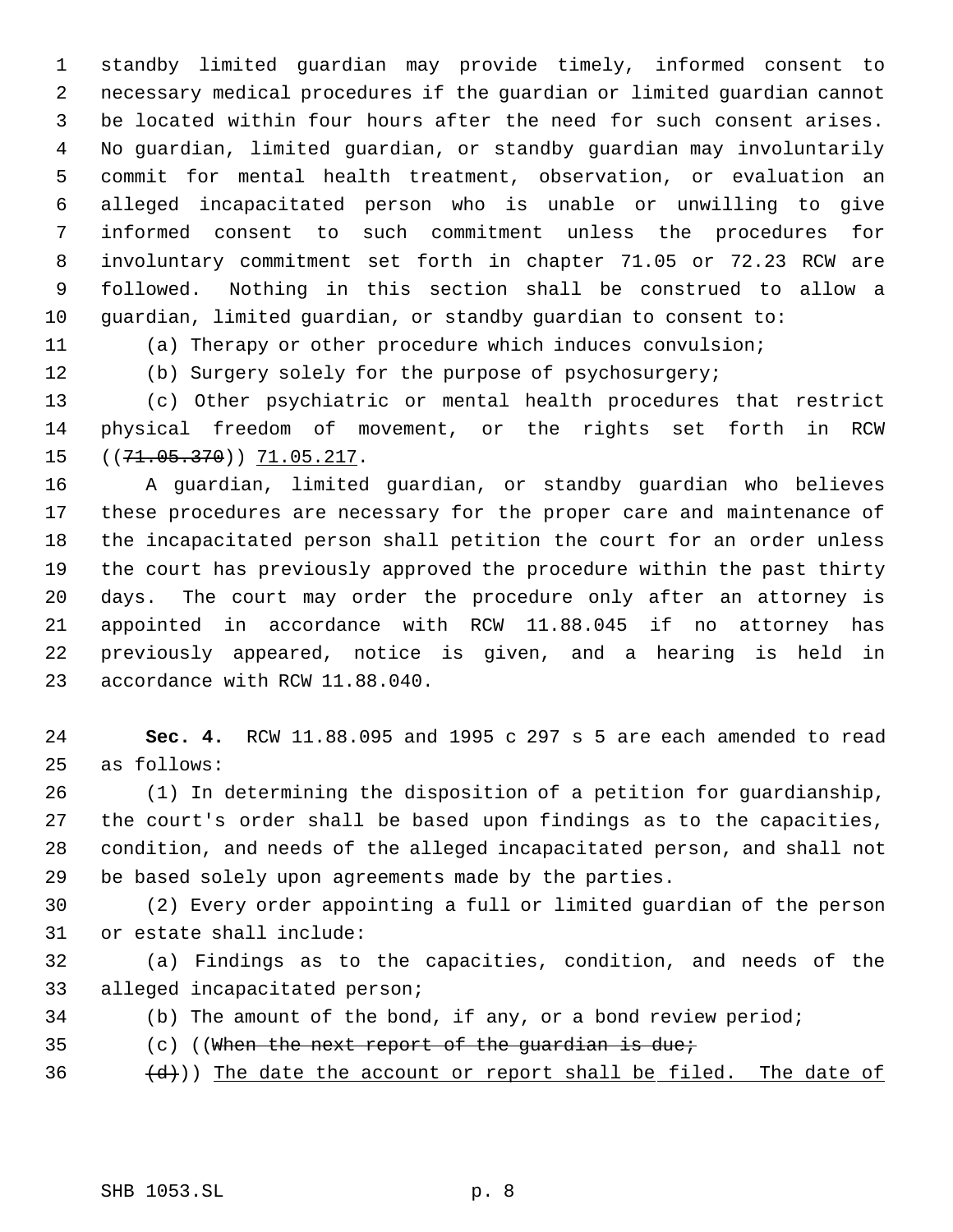standby limited guardian may provide timely, informed consent to necessary medical procedures if the guardian or limited guardian cannot be located within four hours after the need for such consent arises. No guardian, limited guardian, or standby guardian may involuntarily commit for mental health treatment, observation, or evaluation an alleged incapacitated person who is unable or unwilling to give informed consent to such commitment unless the procedures for involuntary commitment set forth in chapter 71.05 or 72.23 RCW are followed. Nothing in this section shall be construed to allow a guardian, limited guardian, or standby guardian to consent to:

(a) Therapy or other procedure which induces convulsion;

(b) Surgery solely for the purpose of psychosurgery;

 (c) Other psychiatric or mental health procedures that restrict physical freedom of movement, or the rights set forth in RCW 15 ((71.05.370)) 71.05.217.

 A guardian, limited guardian, or standby guardian who believes these procedures are necessary for the proper care and maintenance of the incapacitated person shall petition the court for an order unless the court has previously approved the procedure within the past thirty days. The court may order the procedure only after an attorney is appointed in accordance with RCW 11.88.045 if no attorney has previously appeared, notice is given, and a hearing is held in accordance with RCW 11.88.040.

 **Sec. 4.** RCW 11.88.095 and 1995 c 297 s 5 are each amended to read as follows:

 (1) In determining the disposition of a petition for guardianship, the court's order shall be based upon findings as to the capacities, condition, and needs of the alleged incapacitated person, and shall not be based solely upon agreements made by the parties.

 (2) Every order appointing a full or limited guardian of the person or estate shall include:

 (a) Findings as to the capacities, condition, and needs of the alleged incapacitated person;

- (b) The amount of the bond, if any, or a bond review period;
- (c) ((When the next report of the guardian is due;
- $(d+1)$ ) The date the account or report shall be filed. The date of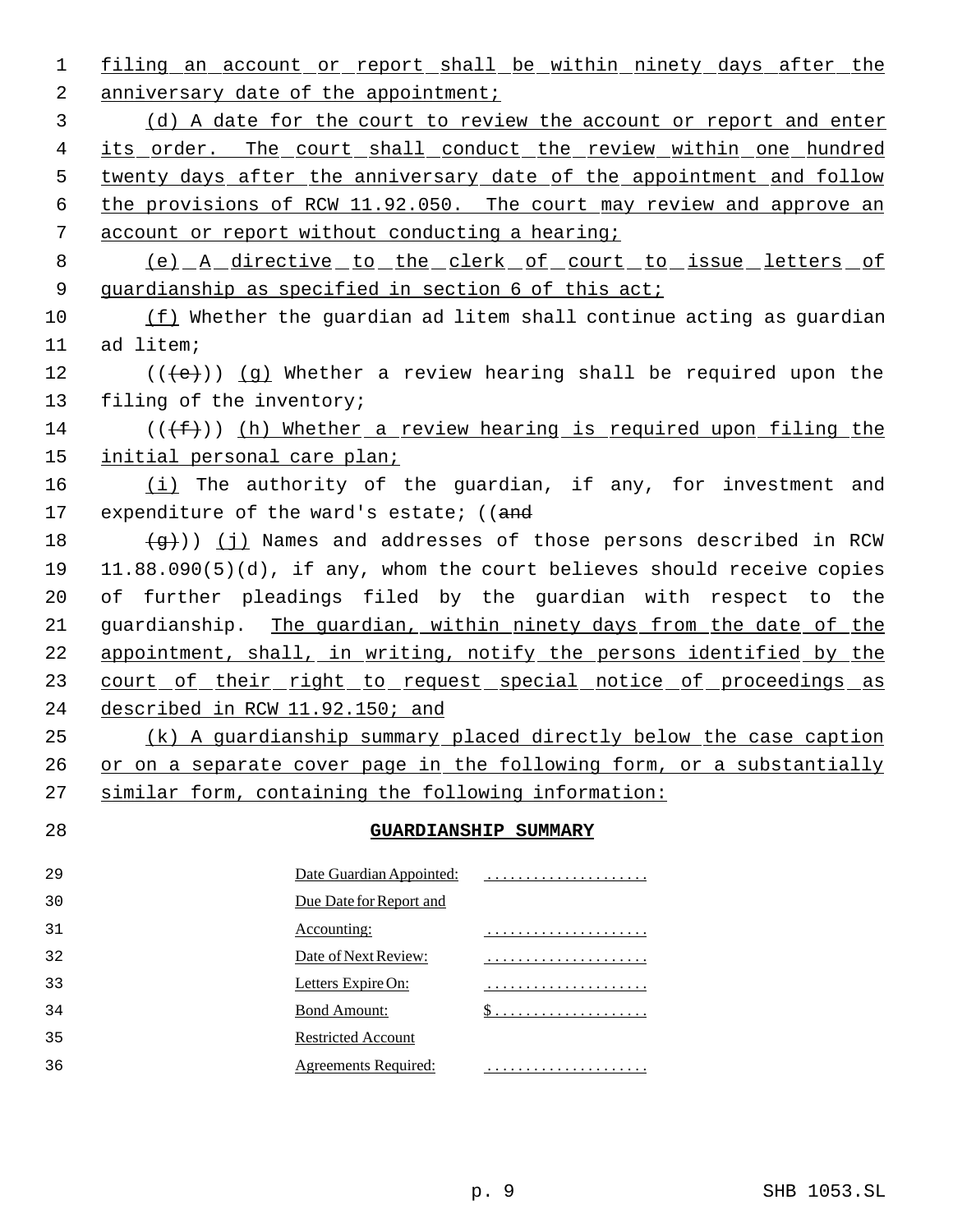1 filing an account or report shall be within ninety days after the 2 anniversary date of the appointment; (d) A date for the court to review the account or report and enter 4 its order. The court shall conduct the review within one hundred 5 twenty days after the anniversary date of the appointment and follow the provisions of RCW 11.92.050. The court may review and approve an account or report without conducting a hearing; (e) A directive to the clerk of court to issue letters of 9 guardianship as specified in section 6 of this act; (f) Whether the guardian ad litem shall continue acting as guardian ad litem; 12 ( $(\langle e \rangle)$ ) (g) Whether a review hearing shall be required upon the filing of the inventory; 14 ( $(\overline{f})$ ) (h) Whether a review hearing is required upon filing the initial personal care plan;  $(i)$  The authority of the guardian, if any, for investment and 17 expenditure of the ward's estate; ((and  $\left(\frac{1}{9}\right)$  (j) Names and addresses of those persons described in RCW 11.88.090(5)(d), if any, whom the court believes should receive copies of further pleadings filed by the guardian with respect to the guardianship. The guardian, within ninety days from the date of the appointment, shall, in writing, notify the persons identified by the 23 court of their right to request special notice of proceedings as described in RCW 11.92.150; and (k) A guardianship summary placed directly below the case caption 26 or on a separate cover page in the following form, or a substantially similar form, containing the following information: **GUARDIANSHIP SUMMARY** Date Guardian Appointed: . . . . . . . . . . . . . . . . . . . . . Due Date for Report and Accounting: . . . . . . . . . . . . . . . . . . . . . Date of Next Review: . . . . . . . . . . . . . . . . . . . . . Letters Expire On: . . . . . . . . . . . . . . . . . . . . . Bond Amount: \$ . . . . . . . . . . . . . . . . . . . . Restricted Account Agreements Required: . . . . . . . . . . . . . . . . . . . . .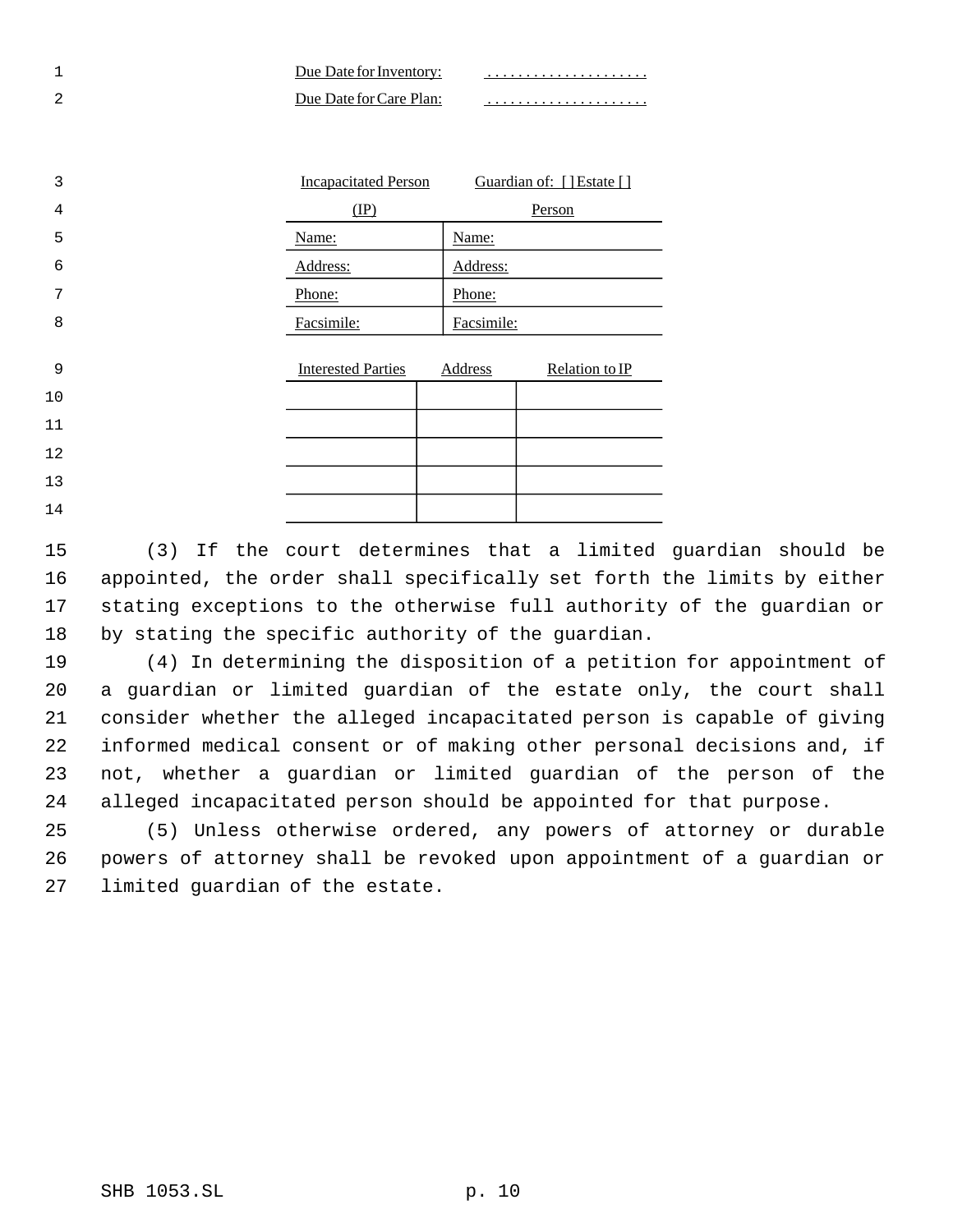| Due Date for Inventory: |  |
|-------------------------|--|
| Due Date for Care Plan: |  |

| 3              | <b>Incapacitated Person</b> |            | Guardian of: [] Estate [] |
|----------------|-----------------------------|------------|---------------------------|
| $\overline{4}$ | (IP)                        |            | Person                    |
| 5              | Name:                       | Name:      |                           |
| 6              | Address:                    | Address:   |                           |
| 7              | Phone:                      | Phone:     |                           |
| 8              | Facsimile:                  | Facsimile: |                           |
| 9              | <b>Interested Parties</b>   | Address    | Relation to IP            |
| 10             |                             |            |                           |
| 11             |                             |            |                           |
| 12             |                             |            |                           |
| 13             |                             |            |                           |
| 14             |                             |            |                           |

 (3) If the court determines that a limited guardian should be appointed, the order shall specifically set forth the limits by either stating exceptions to the otherwise full authority of the guardian or by stating the specific authority of the guardian.

 (4) In determining the disposition of a petition for appointment of a guardian or limited guardian of the estate only, the court shall consider whether the alleged incapacitated person is capable of giving informed medical consent or of making other personal decisions and, if not, whether a guardian or limited guardian of the person of the alleged incapacitated person should be appointed for that purpose.

 (5) Unless otherwise ordered, any powers of attorney or durable powers of attorney shall be revoked upon appointment of a guardian or limited guardian of the estate.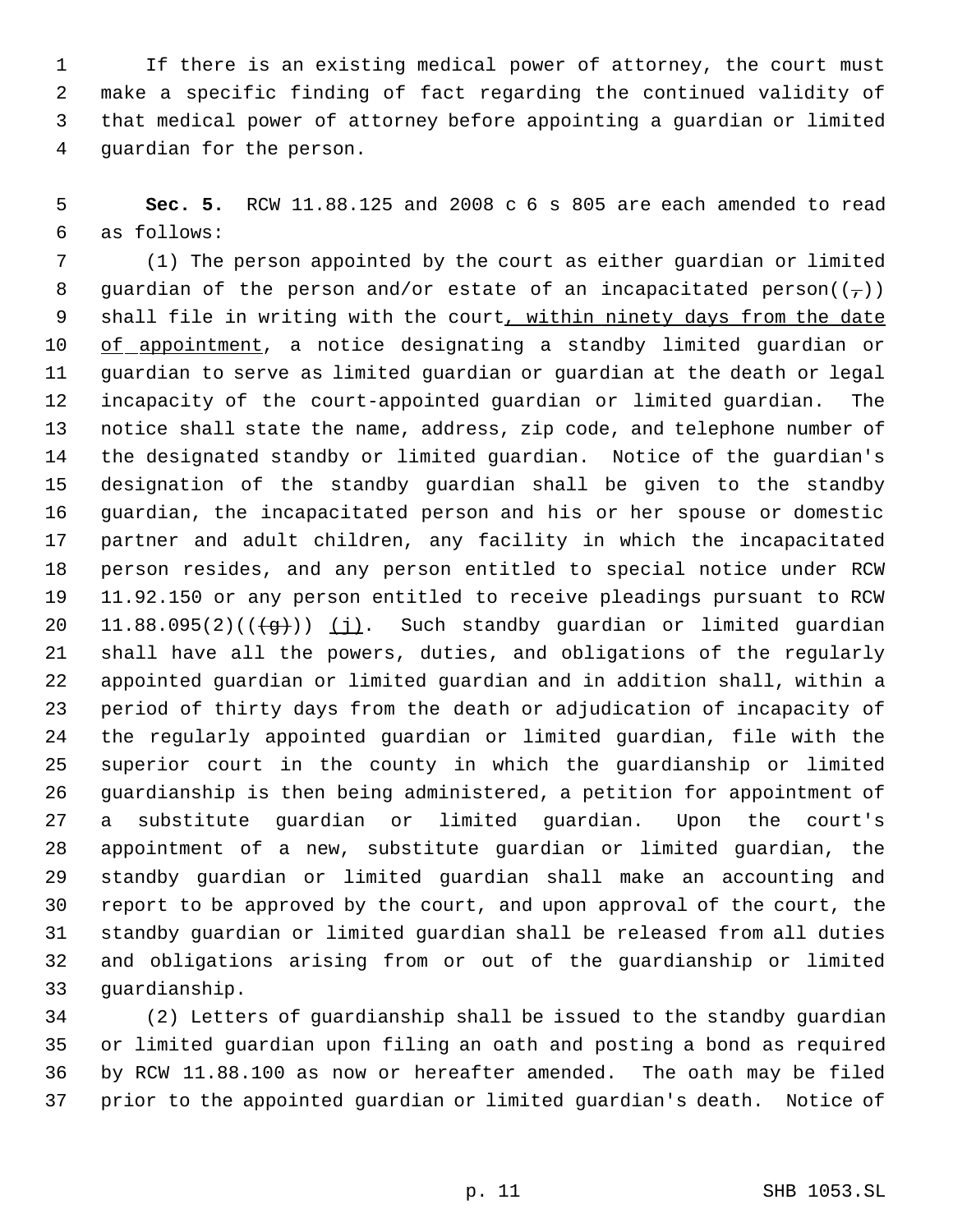If there is an existing medical power of attorney, the court must make a specific finding of fact regarding the continued validity of that medical power of attorney before appointing a guardian or limited guardian for the person.

 **Sec. 5.** RCW 11.88.125 and 2008 c 6 s 805 are each amended to read as follows:

 (1) The person appointed by the court as either guardian or limited 8 guardian of the person and/or estate of an incapacitated person( $(\tau)$ ) 9 shall file in writing with the court, within ninety days from the date 10 of appointment, a notice designating a standby limited guardian or guardian to serve as limited guardian or guardian at the death or legal incapacity of the court-appointed guardian or limited guardian. The notice shall state the name, address, zip code, and telephone number of the designated standby or limited guardian. Notice of the guardian's designation of the standby guardian shall be given to the standby guardian, the incapacitated person and his or her spouse or domestic partner and adult children, any facility in which the incapacitated person resides, and any person entitled to special notice under RCW 11.92.150 or any person entitled to receive pleadings pursuant to RCW 20 11.88.095(2)( $(\frac{49}{})$ ) (j). Such standby guardian or limited guardian shall have all the powers, duties, and obligations of the regularly appointed guardian or limited guardian and in addition shall, within a period of thirty days from the death or adjudication of incapacity of the regularly appointed guardian or limited guardian, file with the superior court in the county in which the guardianship or limited guardianship is then being administered, a petition for appointment of a substitute guardian or limited guardian. Upon the court's appointment of a new, substitute guardian or limited guardian, the standby guardian or limited guardian shall make an accounting and report to be approved by the court, and upon approval of the court, the standby guardian or limited guardian shall be released from all duties and obligations arising from or out of the guardianship or limited guardianship.

 (2) Letters of guardianship shall be issued to the standby guardian or limited guardian upon filing an oath and posting a bond as required by RCW 11.88.100 as now or hereafter amended. The oath may be filed prior to the appointed guardian or limited guardian's death. Notice of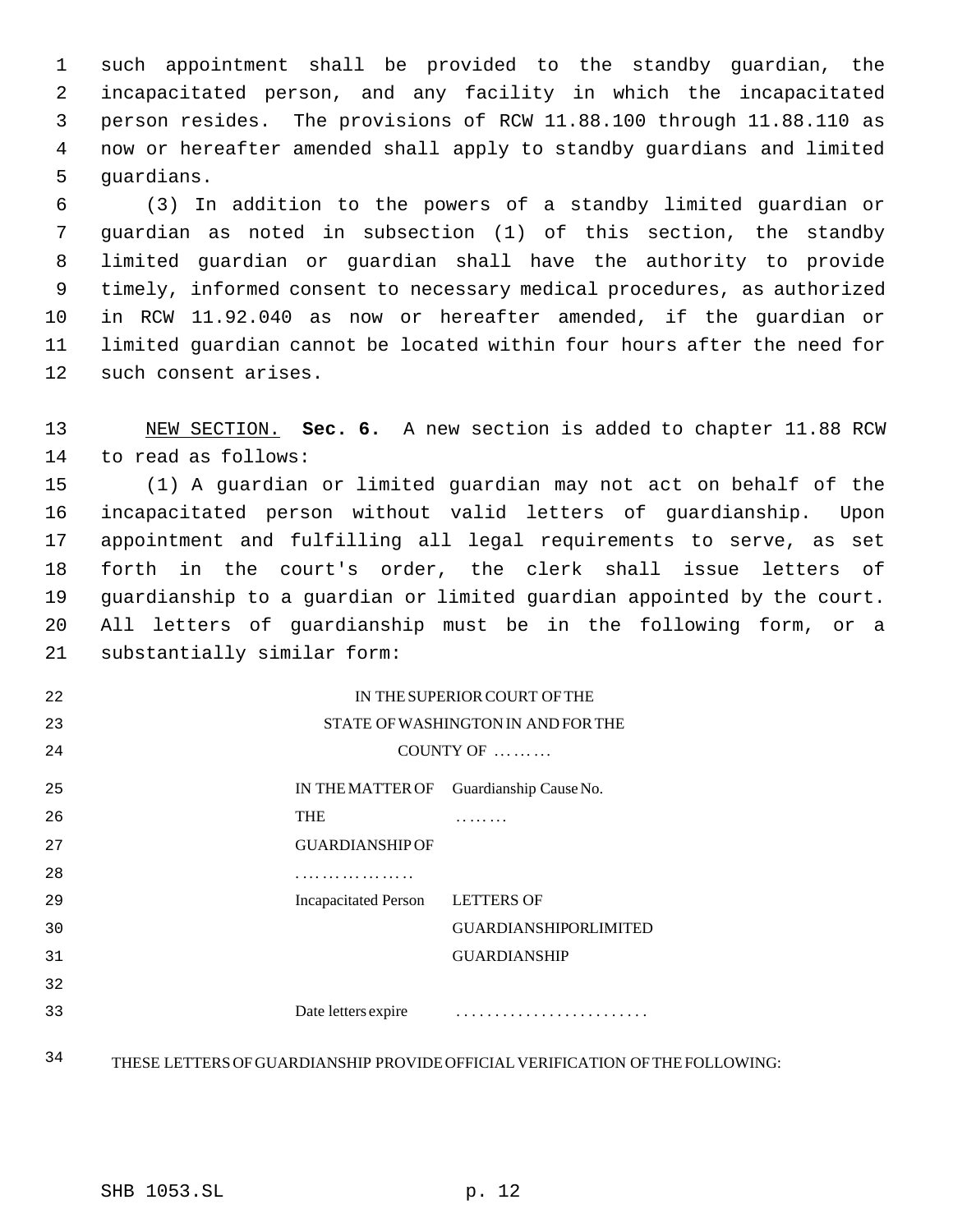such appointment shall be provided to the standby guardian, the incapacitated person, and any facility in which the incapacitated person resides. The provisions of RCW 11.88.100 through 11.88.110 as now or hereafter amended shall apply to standby guardians and limited guardians.

 (3) In addition to the powers of a standby limited guardian or guardian as noted in subsection (1) of this section, the standby limited guardian or guardian shall have the authority to provide timely, informed consent to necessary medical procedures, as authorized in RCW 11.92.040 as now or hereafter amended, if the guardian or limited guardian cannot be located within four hours after the need for such consent arises.

 NEW SECTION. **Sec. 6.** A new section is added to chapter 11.88 RCW to read as follows:

 (1) A guardian or limited guardian may not act on behalf of the incapacitated person without valid letters of guardianship. Upon appointment and fulfilling all legal requirements to serve, as set forth in the court's order, the clerk shall issue letters of guardianship to a guardian or limited guardian appointed by the court. All letters of guardianship must be in the following form, or a substantially similar form:

| 22 | IN THE SUPERIOR COURT OF THE       |                              |  |
|----|------------------------------------|------------------------------|--|
| 23 | STATE OF WASHINGTON IN AND FOR THE |                              |  |
| 24 | COUNTY OF $\dots \dots$            |                              |  |
| 25 | IN THE MATTER OF                   | Guardianship Cause No.       |  |
| 26 | <b>THE</b>                         | .                            |  |
| 27 | <b>GUARDIANSHIP OF</b>             |                              |  |
| 28 | .                                  |                              |  |
| 29 | <b>Incapacitated Person</b>        | <b>LETTERS OF</b>            |  |
| 30 |                                    | <b>GUARDIANSHIPORLIMITED</b> |  |
| 31 |                                    | <b>GUARDIANSHIP</b>          |  |
| 32 |                                    |                              |  |
| 33 | Date letters expire                |                              |  |
|    |                                    |                              |  |

THESE LETTERS OF GUARDIANSHIP PROVIDE OFFICIAL VERIFICATION OF THE FOLLOWING: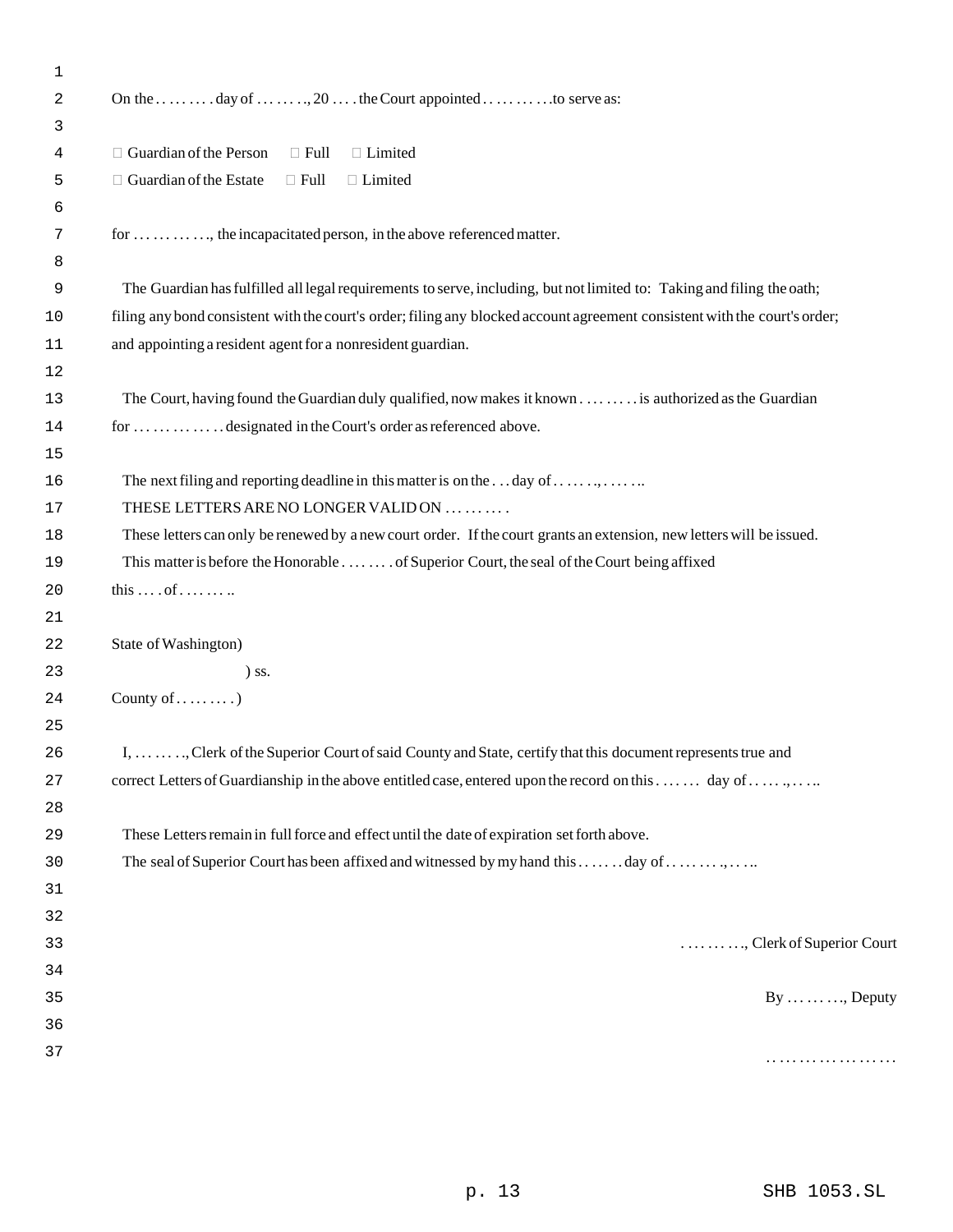| 1  |                                                                                                                            |
|----|----------------------------------------------------------------------------------------------------------------------------|
| 2  | On the  day of , 20  . the Court appointed  to serve as:                                                                   |
| 3  |                                                                                                                            |
| 4  | $\Box$ Guardian of the Person<br>□ Limited<br>$\Box$ Full                                                                  |
| 5  | $\Box$ Guardian of the Estate<br>□ Limited<br>$\Box$ Full                                                                  |
| 6  |                                                                                                                            |
| 7  | for , the incapacitated person, in the above referenced matter.                                                            |
| 8  |                                                                                                                            |
| 9  | The Guardian has fulfilled all legal requirements to serve, including, but not limited to: Taking and filing the oath;     |
| 10 | filing any bond consistent with the court's order; filing any blocked account agreement consistent with the court's order; |
| 11 | and appointing a resident agent for a nonresident guardian.                                                                |
| 12 |                                                                                                                            |
| 13 | The Court, having found the Guardian duly qualified, now makes it known is authorized as the Guardian                      |
| 14 | for designated in the Court's order as referenced above.                                                                   |
| 15 |                                                                                                                            |
| 16 |                                                                                                                            |
| 17 | THESE LETTERS ARE NO LONGER VALIDON                                                                                        |
| 18 | These letters can only be renewed by a new court order. If the court grants an extension, new letters will be issued.      |
| 19 | This matter is before the Honorable of Superior Court, the seal of the Court being affixed                                 |
| 20 | this $\dots$ of $\dots$                                                                                                    |
| 21 |                                                                                                                            |
| 22 | State of Washington)                                                                                                       |
| 23 | $)$ ss.                                                                                                                    |
| 24 | County of $\dots\dots\dots$                                                                                                |
| 25 |                                                                                                                            |
| 26 | I, , Clerk of the Superior Court of said County and State, certify that this document represents true and                  |
| 27 | correct Letters of Guardianship in the above entitled case, entered upon the record on this  day of                        |
| 28 |                                                                                                                            |
| 29 | These Letters remain in full force and effect until the date of expiration set forth above.                                |
| 30 | The seal of Superior Court has been affixed and witnessed by my hand this  day of                                          |
| 31 |                                                                                                                            |
| 32 |                                                                                                                            |
| 33 | , Clerk of Superior Court                                                                                                  |
| 34 |                                                                                                                            |
| 35 | $By \ldots \ldots \ldots$ , Deputy                                                                                         |
| 36 |                                                                                                                            |
| 37 | .                                                                                                                          |
|    |                                                                                                                            |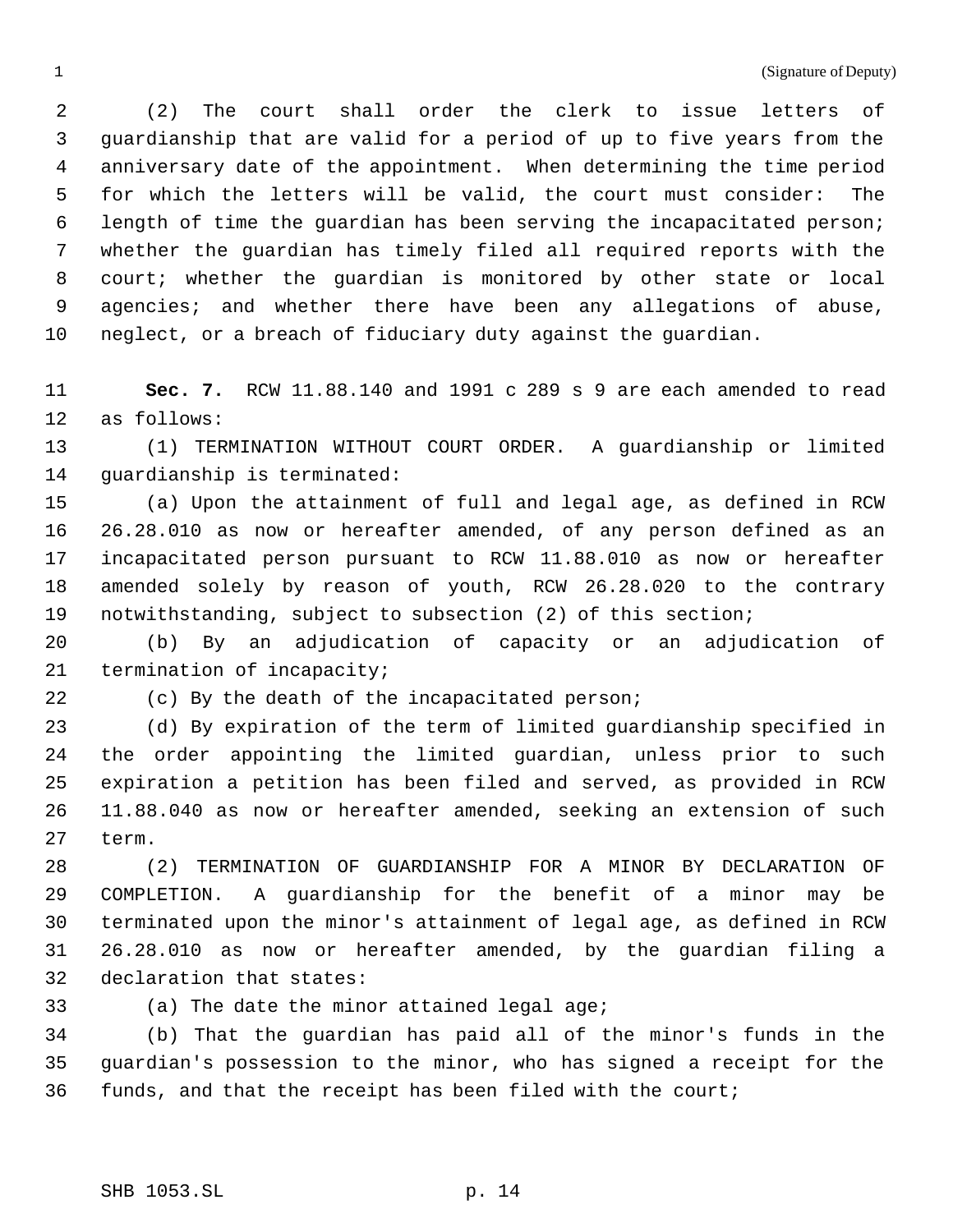1 (Signature of Deputy)

 (2) The court shall order the clerk to issue letters of guardianship that are valid for a period of up to five years from the anniversary date of the appointment. When determining the time period for which the letters will be valid, the court must consider: The length of time the guardian has been serving the incapacitated person; whether the guardian has timely filed all required reports with the court; whether the guardian is monitored by other state or local 9 agencies; and whether there have been any allegations of abuse, neglect, or a breach of fiduciary duty against the guardian.

 **Sec. 7.** RCW 11.88.140 and 1991 c 289 s 9 are each amended to read as follows:

 (1) TERMINATION WITHOUT COURT ORDER. A guardianship or limited guardianship is terminated:

 (a) Upon the attainment of full and legal age, as defined in RCW 26.28.010 as now or hereafter amended, of any person defined as an incapacitated person pursuant to RCW 11.88.010 as now or hereafter amended solely by reason of youth, RCW 26.28.020 to the contrary notwithstanding, subject to subsection (2) of this section;

 (b) By an adjudication of capacity or an adjudication of 21 termination of incapacity;

(c) By the death of the incapacitated person;

 (d) By expiration of the term of limited guardianship specified in the order appointing the limited guardian, unless prior to such expiration a petition has been filed and served, as provided in RCW 11.88.040 as now or hereafter amended, seeking an extension of such term.

 (2) TERMINATION OF GUARDIANSHIP FOR A MINOR BY DECLARATION OF COMPLETION. A guardianship for the benefit of a minor may be terminated upon the minor's attainment of legal age, as defined in RCW 26.28.010 as now or hereafter amended, by the guardian filing a declaration that states:

(a) The date the minor attained legal age;

 (b) That the guardian has paid all of the minor's funds in the guardian's possession to the minor, who has signed a receipt for the funds, and that the receipt has been filed with the court;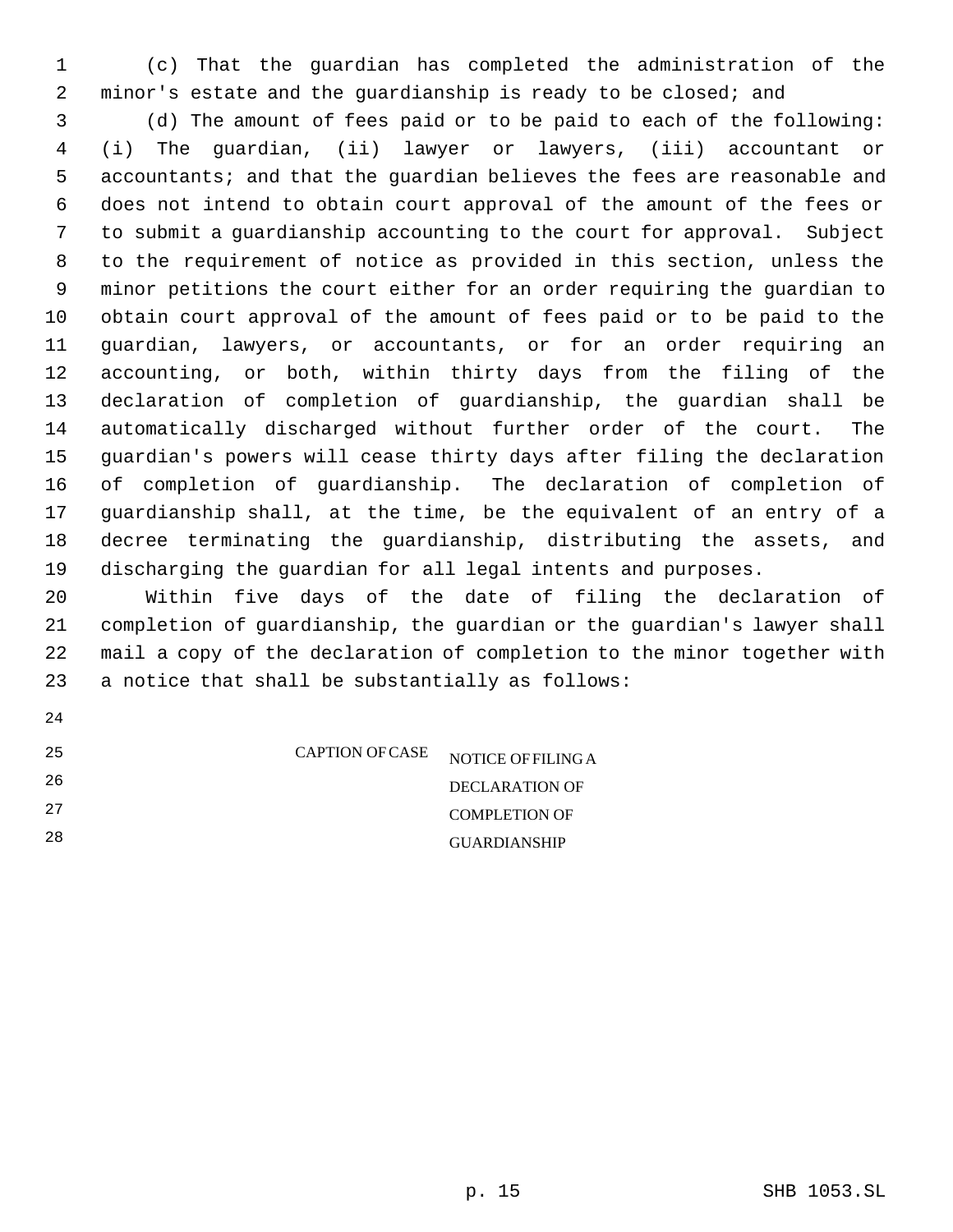(c) That the guardian has completed the administration of the 2 minor's estate and the guardianship is ready to be closed; and

 (d) The amount of fees paid or to be paid to each of the following: (i) The guardian, (ii) lawyer or lawyers, (iii) accountant or accountants; and that the guardian believes the fees are reasonable and does not intend to obtain court approval of the amount of the fees or to submit a guardianship accounting to the court for approval. Subject to the requirement of notice as provided in this section, unless the minor petitions the court either for an order requiring the guardian to obtain court approval of the amount of fees paid or to be paid to the guardian, lawyers, or accountants, or for an order requiring an accounting, or both, within thirty days from the filing of the declaration of completion of guardianship, the guardian shall be automatically discharged without further order of the court. The guardian's powers will cease thirty days after filing the declaration of completion of guardianship. The declaration of completion of guardianship shall, at the time, be the equivalent of an entry of a decree terminating the guardianship, distributing the assets, and discharging the guardian for all legal intents and purposes.

 Within five days of the date of filing the declaration of completion of guardianship, the guardian or the guardian's lawyer shall mail a copy of the declaration of completion to the minor together with a notice that shall be substantially as follows:

| 25 | <b>CAPTION OF CASE</b> | NOTICE OF FILING A   |
|----|------------------------|----------------------|
| 26 |                        | DECLARATION OF       |
| 27 |                        | <b>COMPLETION OF</b> |
| 28 |                        | <b>GUARDIANSHIP</b>  |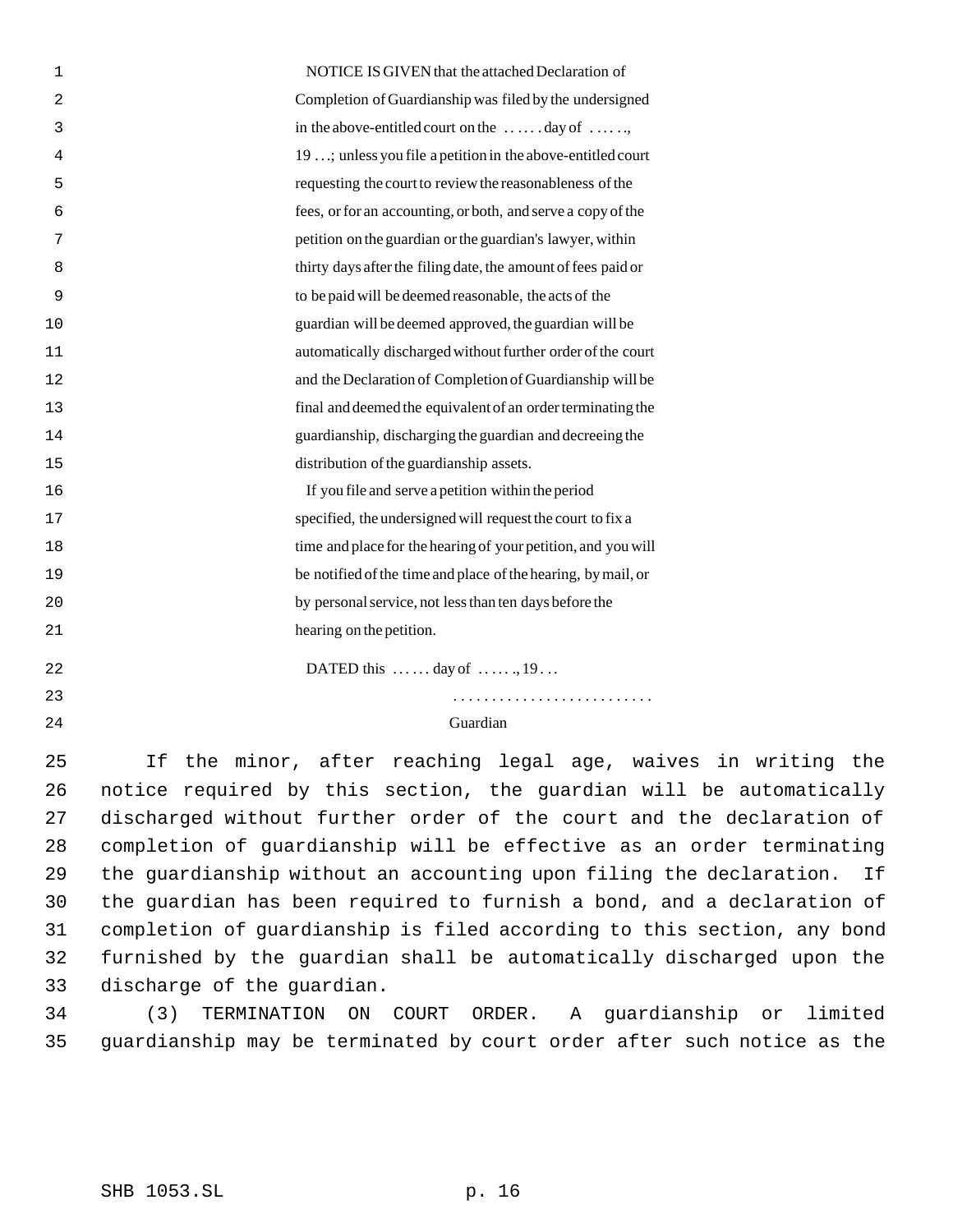| 1              | NOTICE IS GIVEN that the attached Declaration of                      |
|----------------|-----------------------------------------------------------------------|
| $\overline{2}$ | Completion of Guardianship was filed by the undersigned               |
| 3              | in the above-entitled court on the $\dots \dots$ day of $\dots \dots$ |
| 4              | 19 ; unless you file a petition in the above-entitled court           |
| 5              | requesting the court to review the reasonableness of the              |
| 6              | fees, or for an accounting, or both, and serve a copy of the          |
| 7              | petition on the guardian or the guardian's lawyer, within             |
| 8              | thirty days after the filing date, the amount of fees paid or         |
| 9              | to be paid will be deemed reasonable, the acts of the                 |
| 10             | guardian will be deemed approved, the guardian will be                |
| 11             | automatically discharged without further order of the court           |
| 12             | and the Declaration of Completion of Guardianship will be             |
| 13             | final and deemed the equivalent of an order terminating the           |
| 14             | guardianship, discharging the guardian and decreeing the              |
| 15             | distribution of the guardianship assets.                              |
| 16             | If you file and serve a petition within the period                    |
| 17             | specified, the undersigned will request the court to fix a            |
| 18             | time and place for the hearing of your petition, and you will         |
| 19             | be notified of the time and place of the hearing, by mail, or         |
| 20             | by personal service, not less than ten days before the                |
| 21             | hearing on the petition.                                              |
| 22             | DATED this   day of   , 19                                            |
| 23             |                                                                       |
| 24             | Guardian                                                              |

 If the minor, after reaching legal age, waives in writing the notice required by this section, the guardian will be automatically discharged without further order of the court and the declaration of completion of guardianship will be effective as an order terminating the guardianship without an accounting upon filing the declaration. If the guardian has been required to furnish a bond, and a declaration of completion of guardianship is filed according to this section, any bond furnished by the guardian shall be automatically discharged upon the discharge of the guardian.

 (3) TERMINATION ON COURT ORDER. A guardianship or limited guardianship may be terminated by court order after such notice as the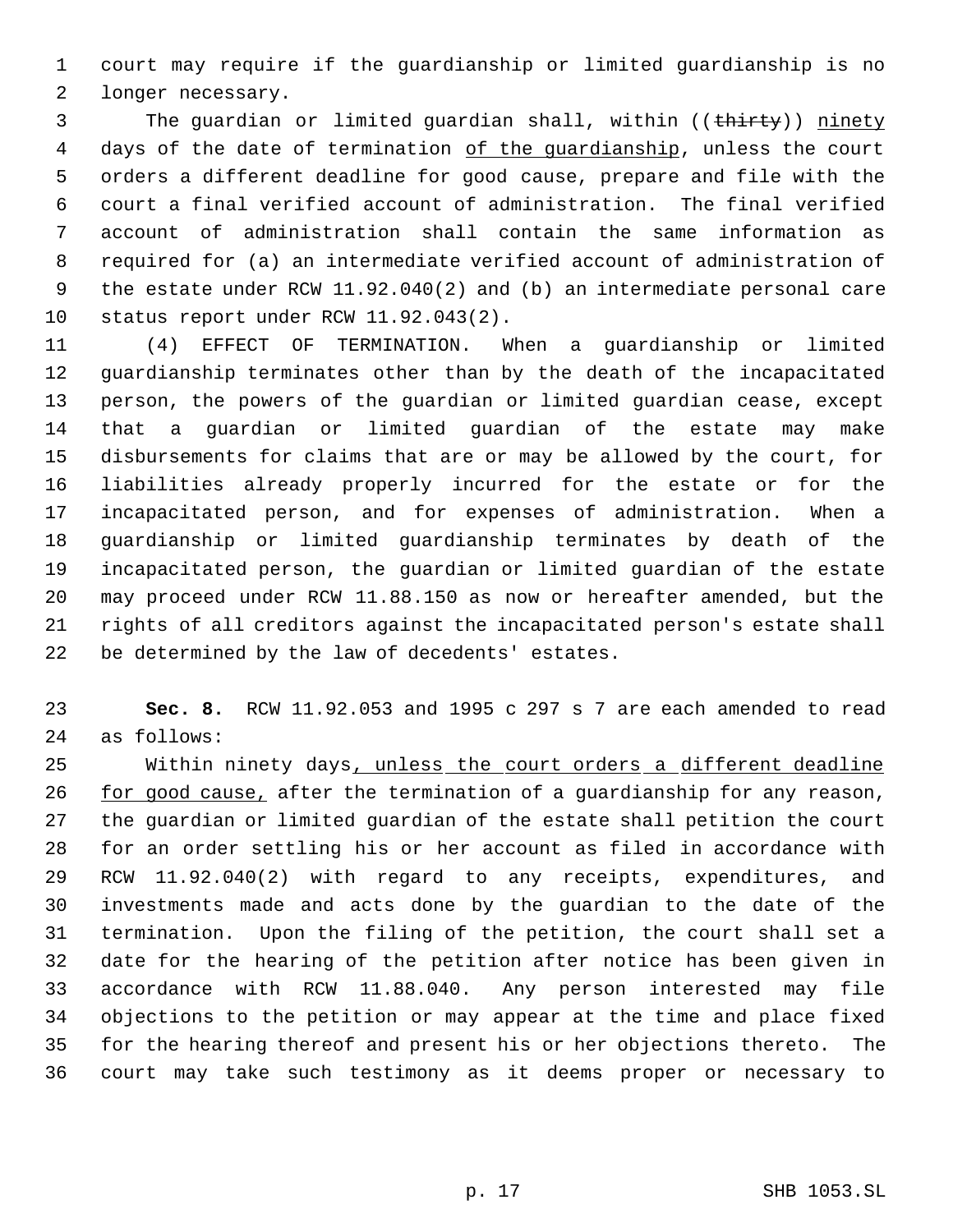court may require if the guardianship or limited guardianship is no longer necessary.

3 The quardian or limited quardian shall, within ((thirty)) ninety days of the date of termination of the guardianship, unless the court orders a different deadline for good cause, prepare and file with the court a final verified account of administration. The final verified account of administration shall contain the same information as required for (a) an intermediate verified account of administration of the estate under RCW 11.92.040(2) and (b) an intermediate personal care status report under RCW 11.92.043(2).

 (4) EFFECT OF TERMINATION. When a guardianship or limited guardianship terminates other than by the death of the incapacitated person, the powers of the guardian or limited guardian cease, except that a guardian or limited guardian of the estate may make disbursements for claims that are or may be allowed by the court, for liabilities already properly incurred for the estate or for the incapacitated person, and for expenses of administration. When a guardianship or limited guardianship terminates by death of the incapacitated person, the guardian or limited guardian of the estate may proceed under RCW 11.88.150 as now or hereafter amended, but the rights of all creditors against the incapacitated person's estate shall be determined by the law of decedents' estates.

 **Sec. 8.** RCW 11.92.053 and 1995 c 297 s 7 are each amended to read as follows:

25 Within ninety days, unless the court orders a different deadline 26 for good cause, after the termination of a guardianship for any reason, the guardian or limited guardian of the estate shall petition the court for an order settling his or her account as filed in accordance with RCW 11.92.040(2) with regard to any receipts, expenditures, and investments made and acts done by the guardian to the date of the termination. Upon the filing of the petition, the court shall set a date for the hearing of the petition after notice has been given in accordance with RCW 11.88.040. Any person interested may file objections to the petition or may appear at the time and place fixed for the hearing thereof and present his or her objections thereto. The court may take such testimony as it deems proper or necessary to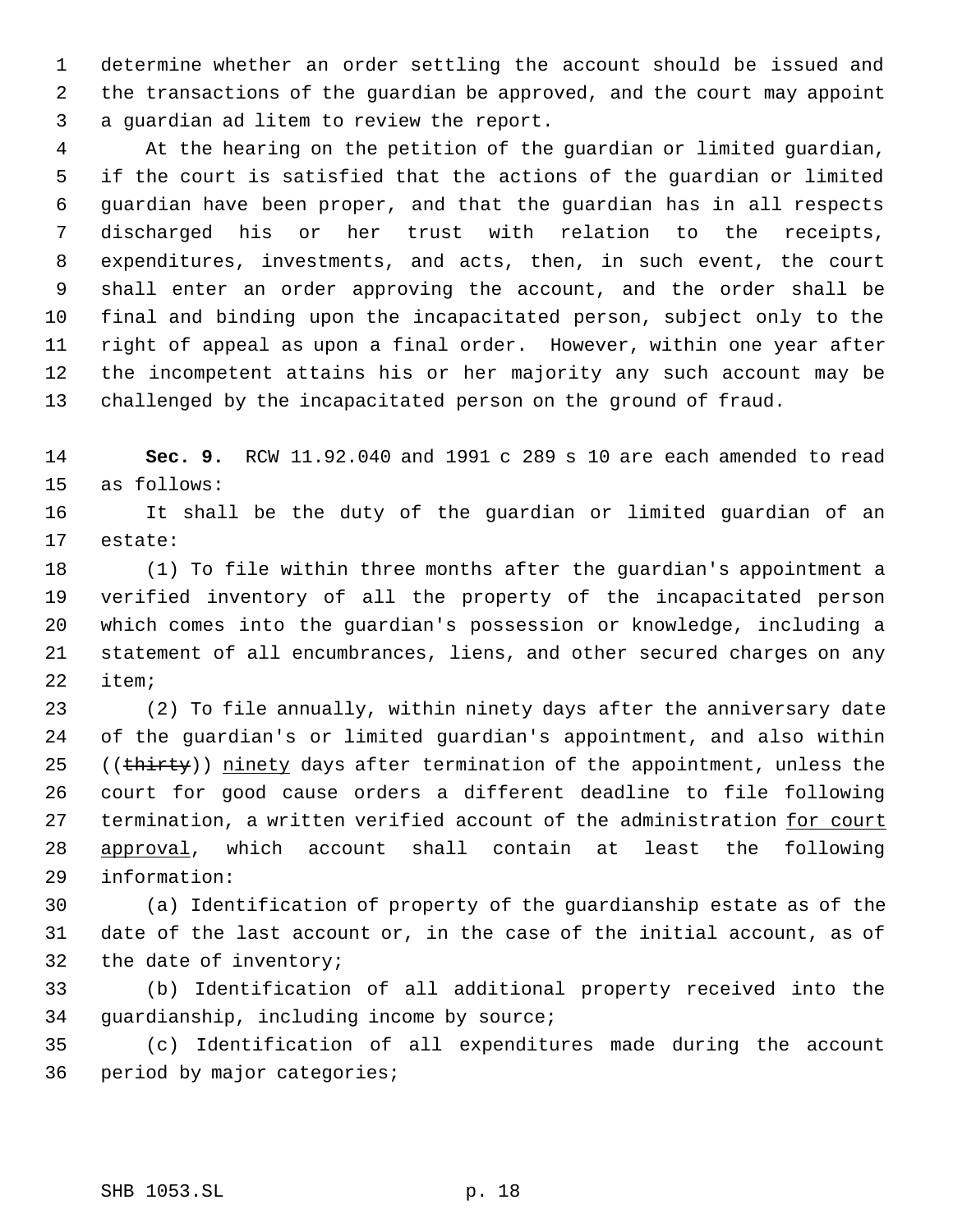determine whether an order settling the account should be issued and the transactions of the guardian be approved, and the court may appoint a guardian ad litem to review the report.

 At the hearing on the petition of the guardian or limited guardian, if the court is satisfied that the actions of the guardian or limited guardian have been proper, and that the guardian has in all respects discharged his or her trust with relation to the receipts, expenditures, investments, and acts, then, in such event, the court shall enter an order approving the account, and the order shall be final and binding upon the incapacitated person, subject only to the right of appeal as upon a final order. However, within one year after the incompetent attains his or her majority any such account may be challenged by the incapacitated person on the ground of fraud.

 **Sec. 9.** RCW 11.92.040 and 1991 c 289 s 10 are each amended to read as follows:

 It shall be the duty of the guardian or limited guardian of an estate:

 (1) To file within three months after the guardian's appointment a verified inventory of all the property of the incapacitated person which comes into the guardian's possession or knowledge, including a statement of all encumbrances, liens, and other secured charges on any item;

 (2) To file annually, within ninety days after the anniversary date of the guardian's or limited guardian's appointment, and also within 25 ((thirty)) ninety days after termination of the appointment, unless the court for good cause orders a different deadline to file following 27 termination, a written verified account of the administration for court approval, which account shall contain at least the following information:

 (a) Identification of property of the guardianship estate as of the date of the last account or, in the case of the initial account, as of the date of inventory;

 (b) Identification of all additional property received into the guardianship, including income by source;

 (c) Identification of all expenditures made during the account period by major categories;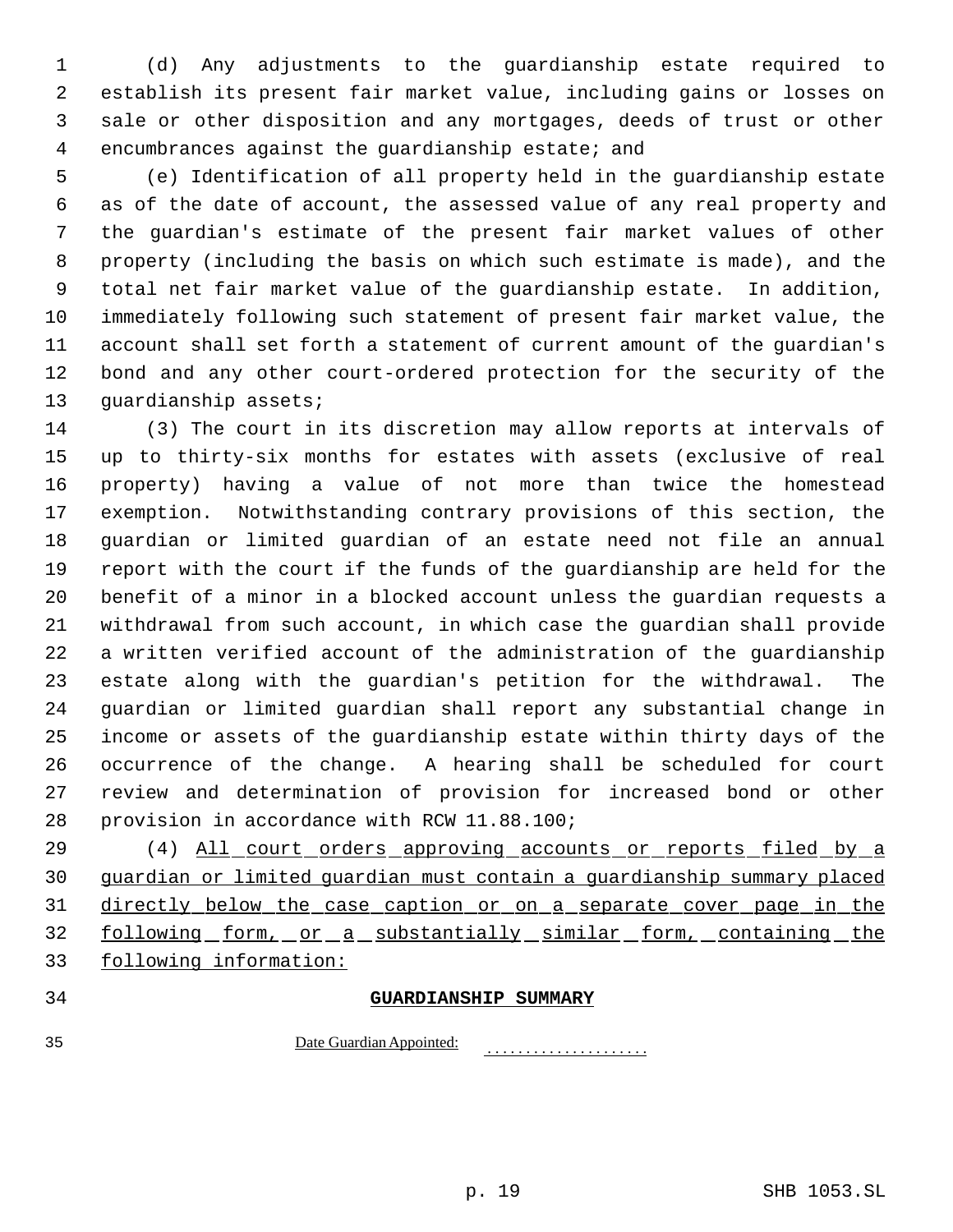(d) Any adjustments to the guardianship estate required to establish its present fair market value, including gains or losses on sale or other disposition and any mortgages, deeds of trust or other encumbrances against the guardianship estate; and

 (e) Identification of all property held in the guardianship estate as of the date of account, the assessed value of any real property and the guardian's estimate of the present fair market values of other property (including the basis on which such estimate is made), and the total net fair market value of the guardianship estate. In addition, immediately following such statement of present fair market value, the account shall set forth a statement of current amount of the guardian's bond and any other court-ordered protection for the security of the guardianship assets;

 (3) The court in its discretion may allow reports at intervals of up to thirty-six months for estates with assets (exclusive of real property) having a value of not more than twice the homestead exemption. Notwithstanding contrary provisions of this section, the guardian or limited guardian of an estate need not file an annual report with the court if the funds of the guardianship are held for the benefit of a minor in a blocked account unless the guardian requests a withdrawal from such account, in which case the guardian shall provide a written verified account of the administration of the guardianship estate along with the guardian's petition for the withdrawal. The guardian or limited guardian shall report any substantial change in income or assets of the guardianship estate within thirty days of the occurrence of the change. A hearing shall be scheduled for court review and determination of provision for increased bond or other provision in accordance with RCW 11.88.100;

29 (4) All court orders approving accounts or reports filed by a guardian or limited guardian must contain a guardianship summary placed directly below the case caption or on a separate cover page in the 32 following form, or a substantially similar form, containing the following information:

# **GUARDIANSHIP SUMMARY**

Date Guardian Appointed:

. . . . . . . . . . . . . . . . . . . . .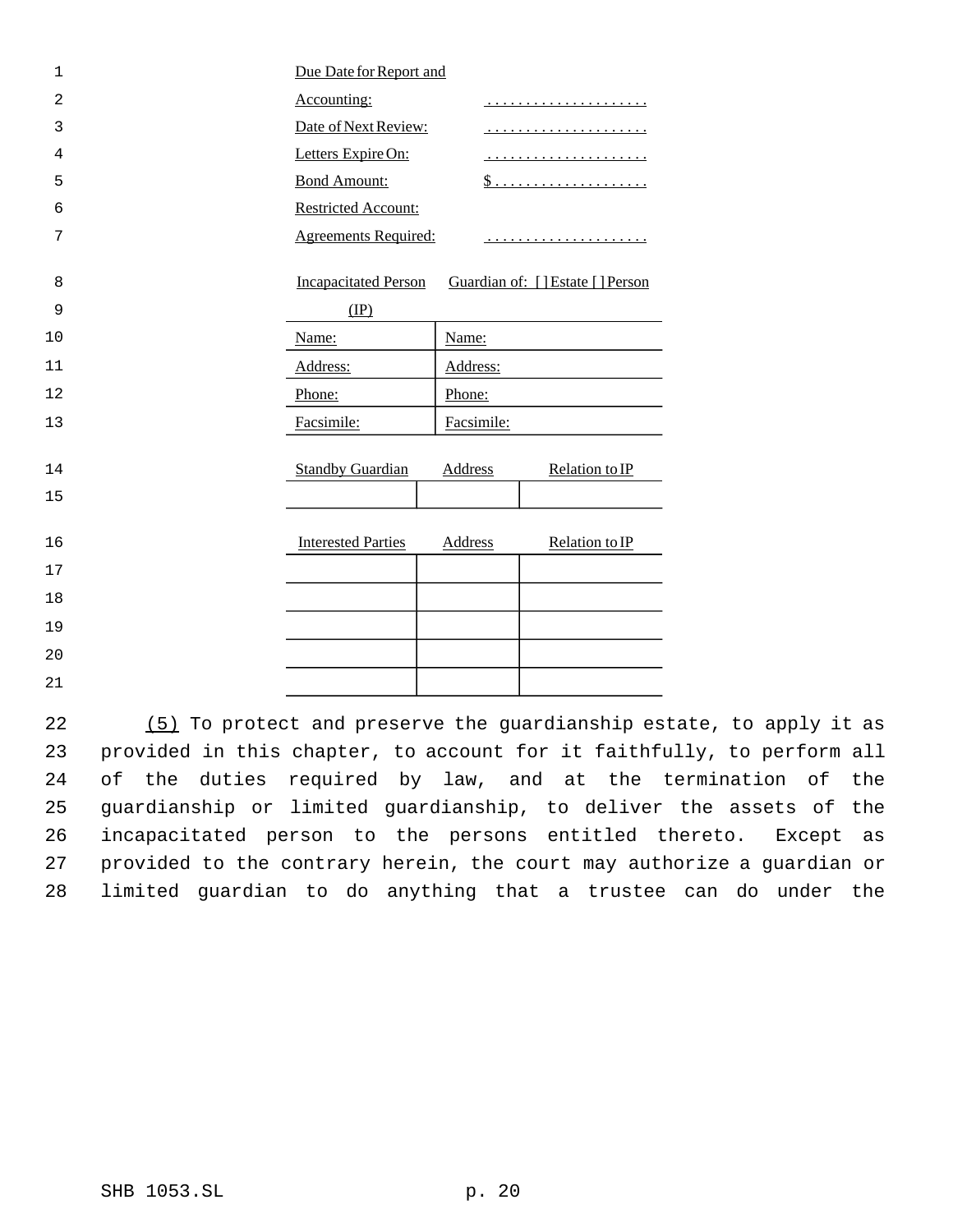| $\mathbf 1$ | Due Date for Report and     |                |                                  |
|-------------|-----------------------------|----------------|----------------------------------|
| 2           | Accounting:                 |                | .                                |
| 3           | Date of Next Review:        |                |                                  |
| 4           | Letters Expire On:          |                |                                  |
| 5           | <b>Bond Amount:</b>         |                | <u>\$</u>                        |
| 6           | <b>Restricted Account:</b>  |                |                                  |
| 7           | <b>Agreements Required:</b> |                |                                  |
| 8           | <b>Incapacitated Person</b> |                | Guardian of: [] Estate [] Person |
| 9           | $(\text{IP})$               |                |                                  |
| 10          | Name:                       | Name:          |                                  |
| 11          | Address:                    | Address:       |                                  |
| 12          | Phone:                      | Phone:         |                                  |
| 13          | Facsimile:                  | Facsimile:     |                                  |
| 14          | <b>Standby Guardian</b>     | <b>Address</b> | Relation to IP                   |
| 15          |                             |                |                                  |
| 16          | <b>Interested Parties</b>   | Address        | Relation to IP                   |
| 17          |                             |                |                                  |
| 18          |                             |                |                                  |
| 19          |                             |                |                                  |
| 20          |                             |                |                                  |
| 21          |                             |                |                                  |

 (5) To protect and preserve the guardianship estate, to apply it as provided in this chapter, to account for it faithfully, to perform all of the duties required by law, and at the termination of the guardianship or limited guardianship, to deliver the assets of the incapacitated person to the persons entitled thereto. Except as provided to the contrary herein, the court may authorize a guardian or limited guardian to do anything that a trustee can do under the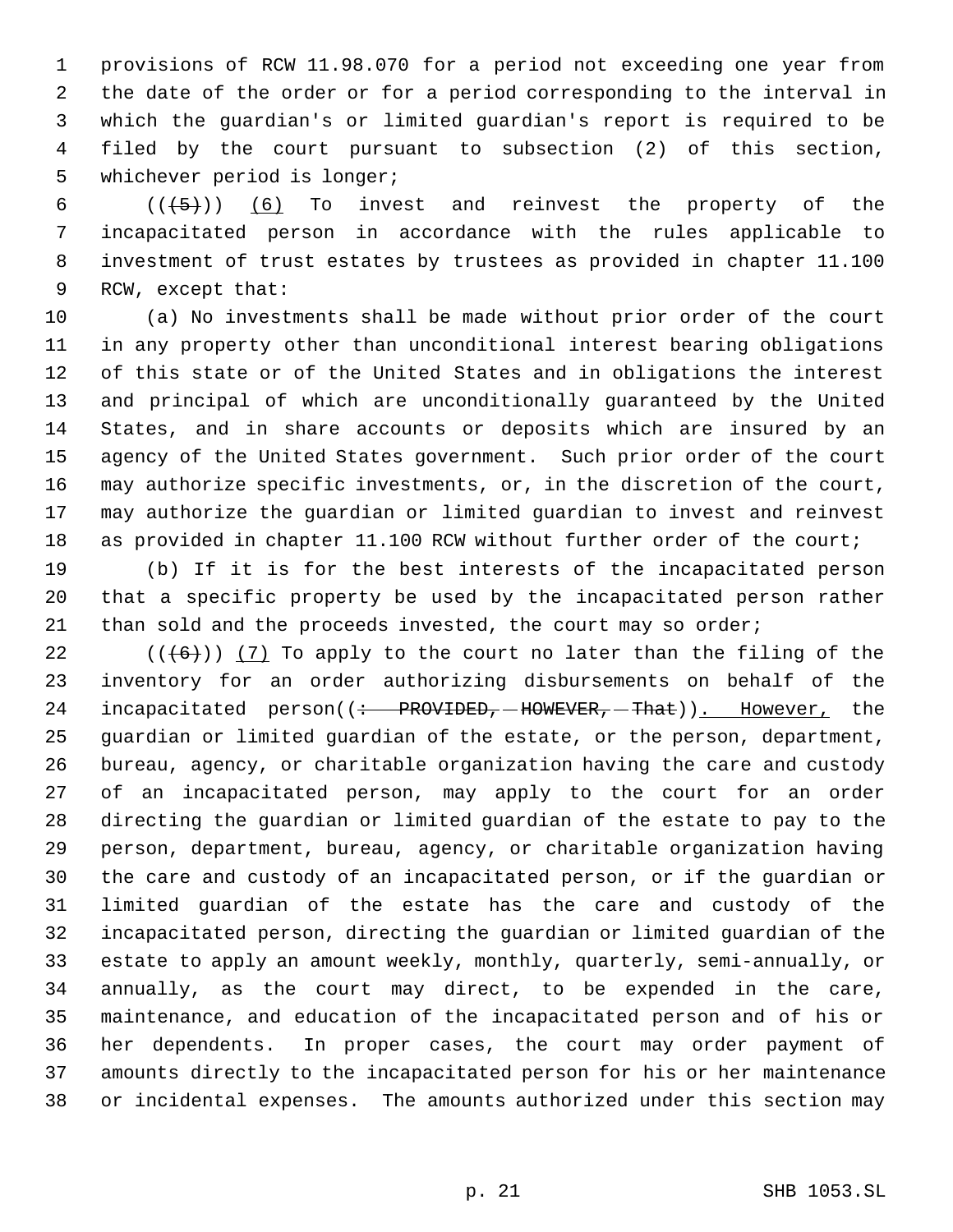provisions of RCW 11.98.070 for a period not exceeding one year from the date of the order or for a period corresponding to the interval in which the guardian's or limited guardian's report is required to be filed by the court pursuant to subsection (2) of this section, whichever period is longer;

 $((+5))$   $(6)$  To invest and reinvest the property of the incapacitated person in accordance with the rules applicable to investment of trust estates by trustees as provided in chapter 11.100 RCW, except that:

 (a) No investments shall be made without prior order of the court in any property other than unconditional interest bearing obligations of this state or of the United States and in obligations the interest and principal of which are unconditionally guaranteed by the United States, and in share accounts or deposits which are insured by an agency of the United States government. Such prior order of the court may authorize specific investments, or, in the discretion of the court, may authorize the guardian or limited guardian to invest and reinvest 18 as provided in chapter 11.100 RCW without further order of the court;

 (b) If it is for the best interests of the incapacitated person that a specific property be used by the incapacitated person rather 21 than sold and the proceeds invested, the court may so order;

 $((+6))$   $(7)$  To apply to the court no later than the filing of the inventory for an order authorizing disbursements on behalf of the 24 incapacitated person( $\left($  + PROVIDED, -HOWEVER, -That)). However, the guardian or limited guardian of the estate, or the person, department, bureau, agency, or charitable organization having the care and custody of an incapacitated person, may apply to the court for an order directing the guardian or limited guardian of the estate to pay to the person, department, bureau, agency, or charitable organization having the care and custody of an incapacitated person, or if the guardian or limited guardian of the estate has the care and custody of the incapacitated person, directing the guardian or limited guardian of the estate to apply an amount weekly, monthly, quarterly, semi-annually, or annually, as the court may direct, to be expended in the care, maintenance, and education of the incapacitated person and of his or her dependents. In proper cases, the court may order payment of amounts directly to the incapacitated person for his or her maintenance or incidental expenses. The amounts authorized under this section may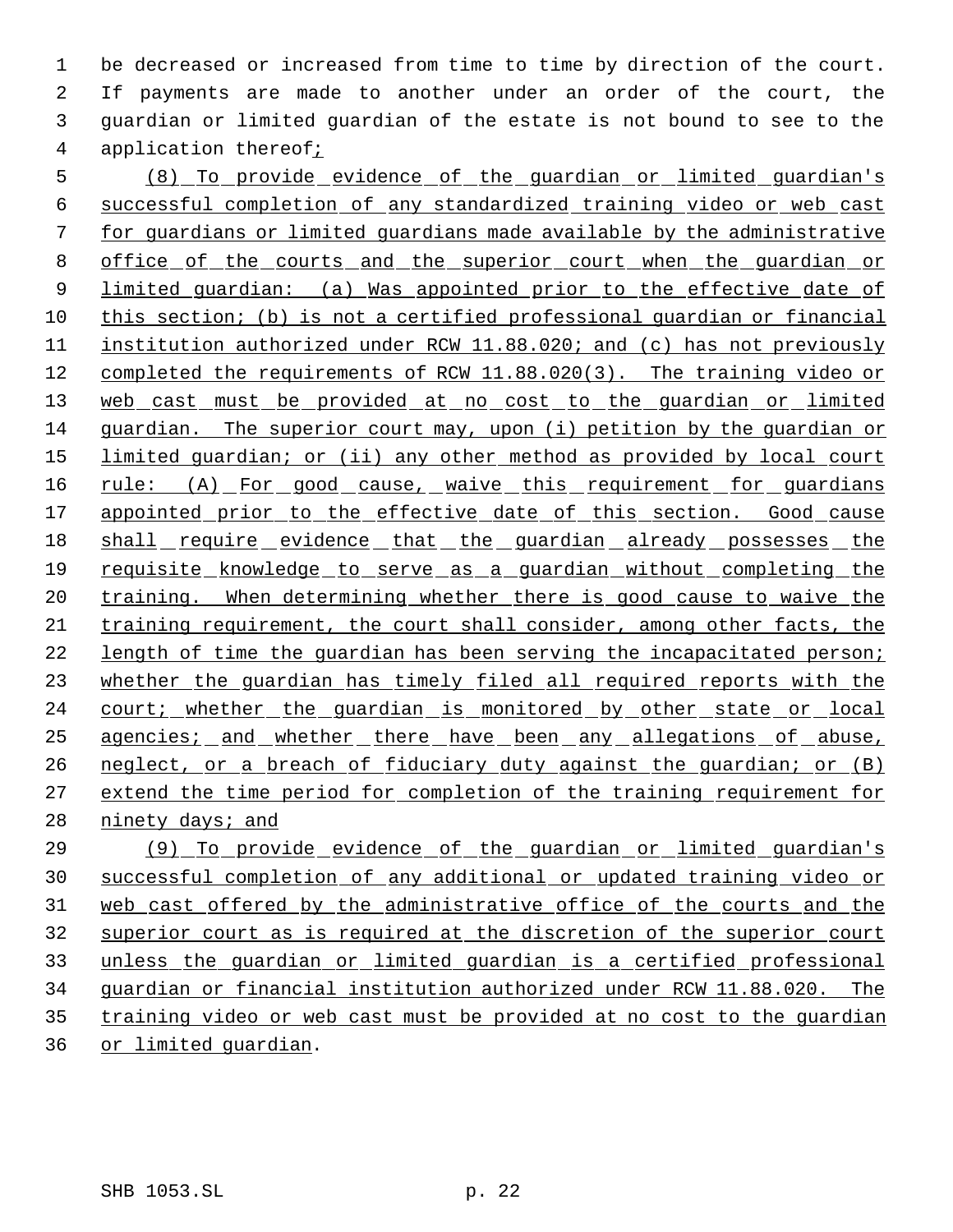be decreased or increased from time to time by direction of the court. If payments are made to another under an order of the court, the guardian or limited guardian of the estate is not bound to see to the application thereof;

 (8) To provide evidence of the guardian or limited guardian's successful completion of any standardized training video or web cast for guardians or limited guardians made available by the administrative office of the courts and the superior court when the guardian or 9 limited guardian: (a) Was appointed prior to the effective date of 10 this section; (b) is not a certified professional quardian or financial institution authorized under RCW 11.88.020; and (c) has not previously completed the requirements of RCW 11.88.020(3). The training video or 13 web cast must be provided at no cost to the guardian or limited guardian. The superior court may, upon (i) petition by the guardian or 15 limited guardian; or (ii) any other method as provided by local court 16 rule: (A) For good cause, waive this requirement for guardians 17 appointed prior to the effective date of this section. Good cause 18 shall require evidence that the guardian already possesses the requisite knowledge to serve as a guardian without completing the 20 training. When determining whether there is good cause to waive the training requirement, the court shall consider, among other facts, the 22 length of time the quardian has been serving the incapacitated person; 23 whether the guardian has timely filed all required reports with the 24 court; whether the guardian is monitored by other state or local agencies; and whether there have been any allegations of abuse, neglect, or a breach of fiduciary duty against the guardian; or (B) extend the time period for completion of the training requirement for 28 ninety days; and

 (9) To provide evidence of the guardian or limited guardian's successful completion of any additional or updated training video or web cast offered by the administrative office of the courts and the superior court as is required at the discretion of the superior court unless the guardian or limited guardian is a certified professional guardian or financial institution authorized under RCW 11.88.020. The training video or web cast must be provided at no cost to the guardian or limited guardian.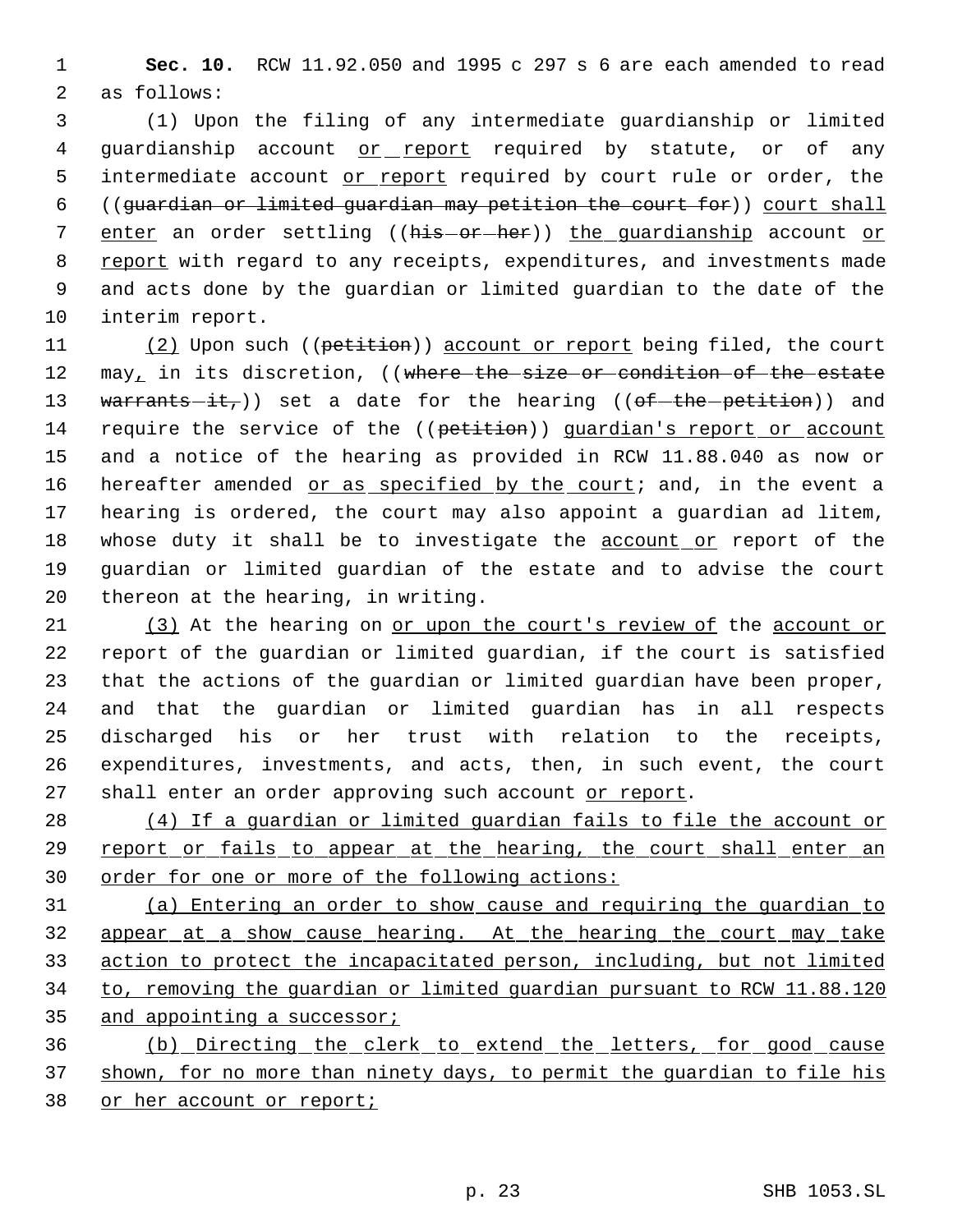1 **Sec. 10.** RCW 11.92.050 and 1995 c 297 s 6 are each amended to read 2 as follows:

 3 (1) Upon the filing of any intermediate guardianship or limited 4 guardianship account or report required by statute, or of any 5 intermediate account or report required by court rule or order, the 6 ((guardian or limited guardian may petition the court for)) court shall 7 enter an order settling ((his-or-her)) the quardianship account or 8 report with regard to any receipts, expenditures, and investments made 9 and acts done by the guardian or limited guardian to the date of the 10 interim report.

11 (2) Upon such ((petition)) account or report being filed, the court 12 may, in its discretion, ((where the size or condition of the estate 13 warrants-it,)) set a date for the hearing (( $of$ -the-petition)) and 14 require the service of the ((petition)) quardian's report or account 15 and a notice of the hearing as provided in RCW 11.88.040 as now or 16 hereafter amended or as specified by the court; and, in the event a 17 hearing is ordered, the court may also appoint a guardian ad litem, 18 whose duty it shall be to investigate the **account or** report of the 19 guardian or limited guardian of the estate and to advise the court 20 thereon at the hearing, in writing.

 (3) At the hearing on or upon the court's review of the account or report of the guardian or limited guardian, if the court is satisfied that the actions of the guardian or limited guardian have been proper, and that the guardian or limited guardian has in all respects discharged his or her trust with relation to the receipts, expenditures, investments, and acts, then, in such event, the court 27 shall enter an order approving such account or report.

28 (4) If a guardian or limited guardian fails to file the account or 29 report or fails to appear at the hearing, the court shall enter an 30 order for one or more of the following actions:

31 (a) Entering an order to show cause and requiring the guardian to 32 appear at a show cause hearing. At the hearing the court may take 33 action to protect the incapacitated person, including, but not limited 34 to, removing the guardian or limited guardian pursuant to RCW 11.88.120 35 and appointing a successor;

36 (b) Directing the clerk to extend the letters, for good cause 37 shown, for no more than ninety days, to permit the guardian to file his 38 or her account or report;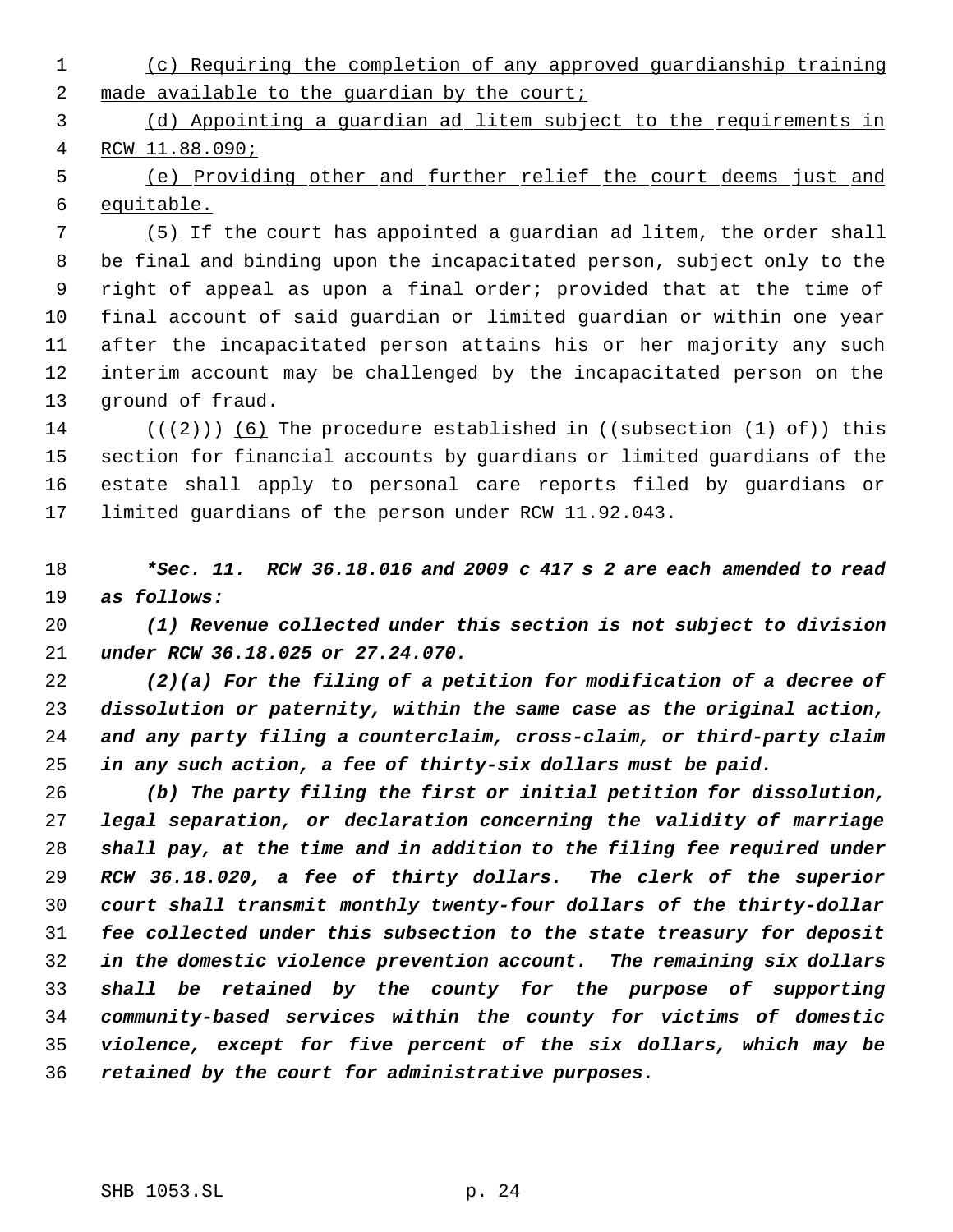(c) Requiring the completion of any approved guardianship training 2 made available to the quardian by the court;

 (d) Appointing a guardian ad litem subject to the requirements in RCW 11.88.090;

 (e) Providing other and further relief the court deems just and equitable.

 (5) If the court has appointed a guardian ad litem, the order shall be final and binding upon the incapacitated person, subject only to the right of appeal as upon a final order; provided that at the time of final account of said guardian or limited guardian or within one year after the incapacitated person attains his or her majority any such interim account may be challenged by the incapacitated person on the ground of fraud.

14 ( $(\langle 2 \rangle)$ ) (6) The procedure established in ((subsection  $(1)$  of)) this section for financial accounts by guardians or limited guardians of the estate shall apply to personal care reports filed by guardians or limited guardians of the person under RCW 11.92.043.

 *\*Sec. 11. RCW 36.18.016 and 2009 c 417 s 2 are each amended to read as follows:*

 *(1) Revenue collected under this section is not subject to division under RCW 36.18.025 or 27.24.070.*

 *(2)(a) For the filing of a petition for modification of a decree of dissolution or paternity, within the same case as the original action, and any party filing a counterclaim, cross-claim, or third-party claim in any such action, a fee of thirty-six dollars must be paid.*

 *(b) The party filing the first or initial petition for dissolution, legal separation, or declaration concerning the validity of marriage shall pay, at the time and in addition to the filing fee required under RCW 36.18.020, a fee of thirty dollars. The clerk of the superior court shall transmit monthly twenty-four dollars of the thirty-dollar fee collected under this subsection to the state treasury for deposit in the domestic violence prevention account. The remaining six dollars shall be retained by the county for the purpose of supporting community-based services within the county for victims of domestic violence, except for five percent of the six dollars, which may be retained by the court for administrative purposes.*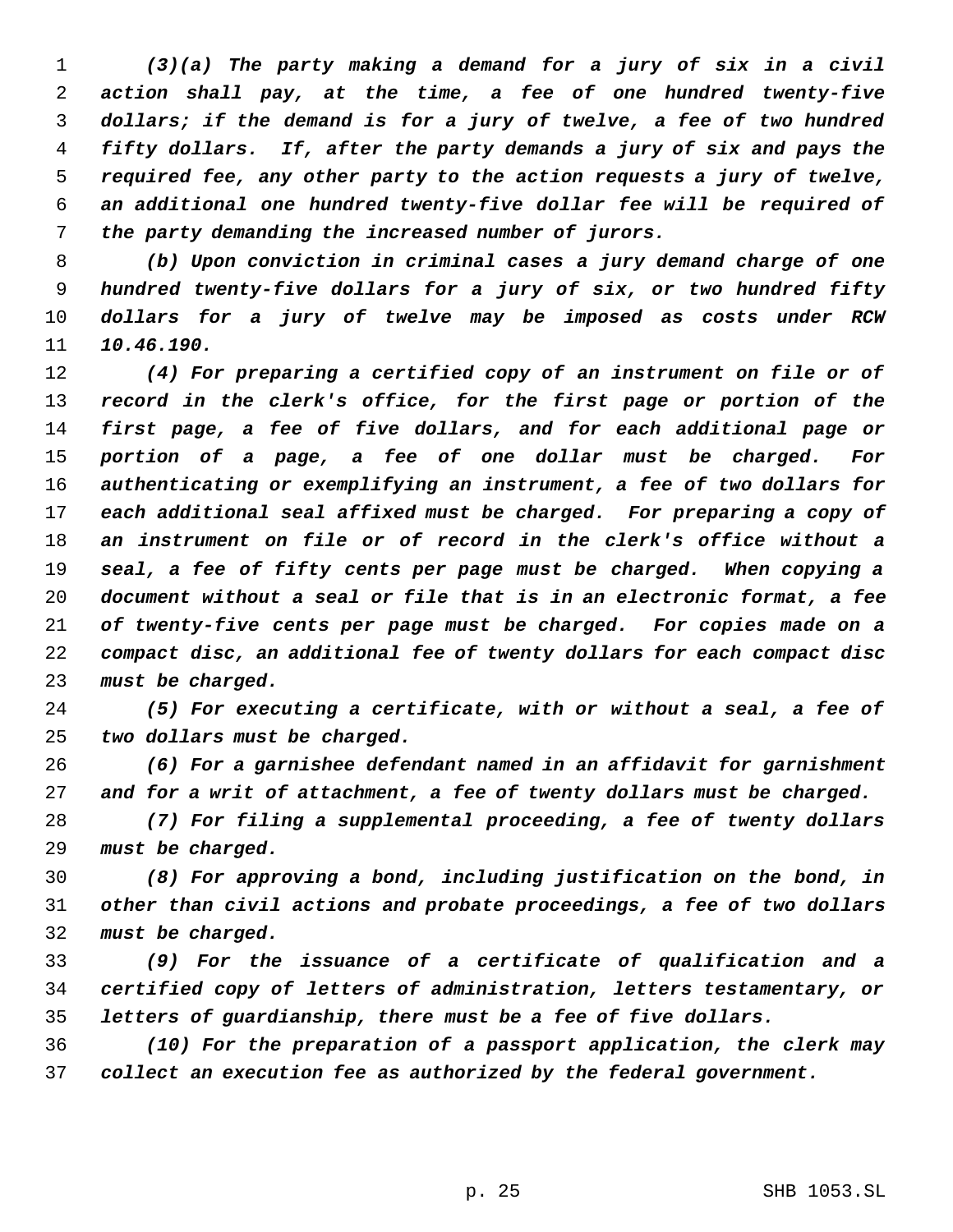*(3)(a) The party making a demand for a jury of six in a civil action shall pay, at the time, a fee of one hundred twenty-five dollars; if the demand is for a jury of twelve, a fee of two hundred fifty dollars. If, after the party demands a jury of six and pays the required fee, any other party to the action requests a jury of twelve, an additional one hundred twenty-five dollar fee will be required of the party demanding the increased number of jurors.*

 *(b) Upon conviction in criminal cases a jury demand charge of one hundred twenty-five dollars for a jury of six, or two hundred fifty dollars for a jury of twelve may be imposed as costs under RCW 10.46.190.*

 *(4) For preparing a certified copy of an instrument on file or of record in the clerk's office, for the first page or portion of the first page, a fee of five dollars, and for each additional page or portion of a page, a fee of one dollar must be charged. For authenticating or exemplifying an instrument, a fee of two dollars for each additional seal affixed must be charged. For preparing a copy of an instrument on file or of record in the clerk's office without a seal, a fee of fifty cents per page must be charged. When copying a document without a seal or file that is in an electronic format, a fee of twenty-five cents per page must be charged. For copies made on a compact disc, an additional fee of twenty dollars for each compact disc must be charged.*

 *(5) For executing a certificate, with or without a seal, a fee of two dollars must be charged.*

 *(6) For a garnishee defendant named in an affidavit for garnishment and for a writ of attachment, a fee of twenty dollars must be charged.*

 *(7) For filing a supplemental proceeding, a fee of twenty dollars must be charged.*

 *(8) For approving a bond, including justification on the bond, in other than civil actions and probate proceedings, a fee of two dollars must be charged.*

 *(9) For the issuance of a certificate of qualification and a certified copy of letters of administration, letters testamentary, or letters of guardianship, there must be a fee of five dollars.*

 *(10) For the preparation of a passport application, the clerk may collect an execution fee as authorized by the federal government.*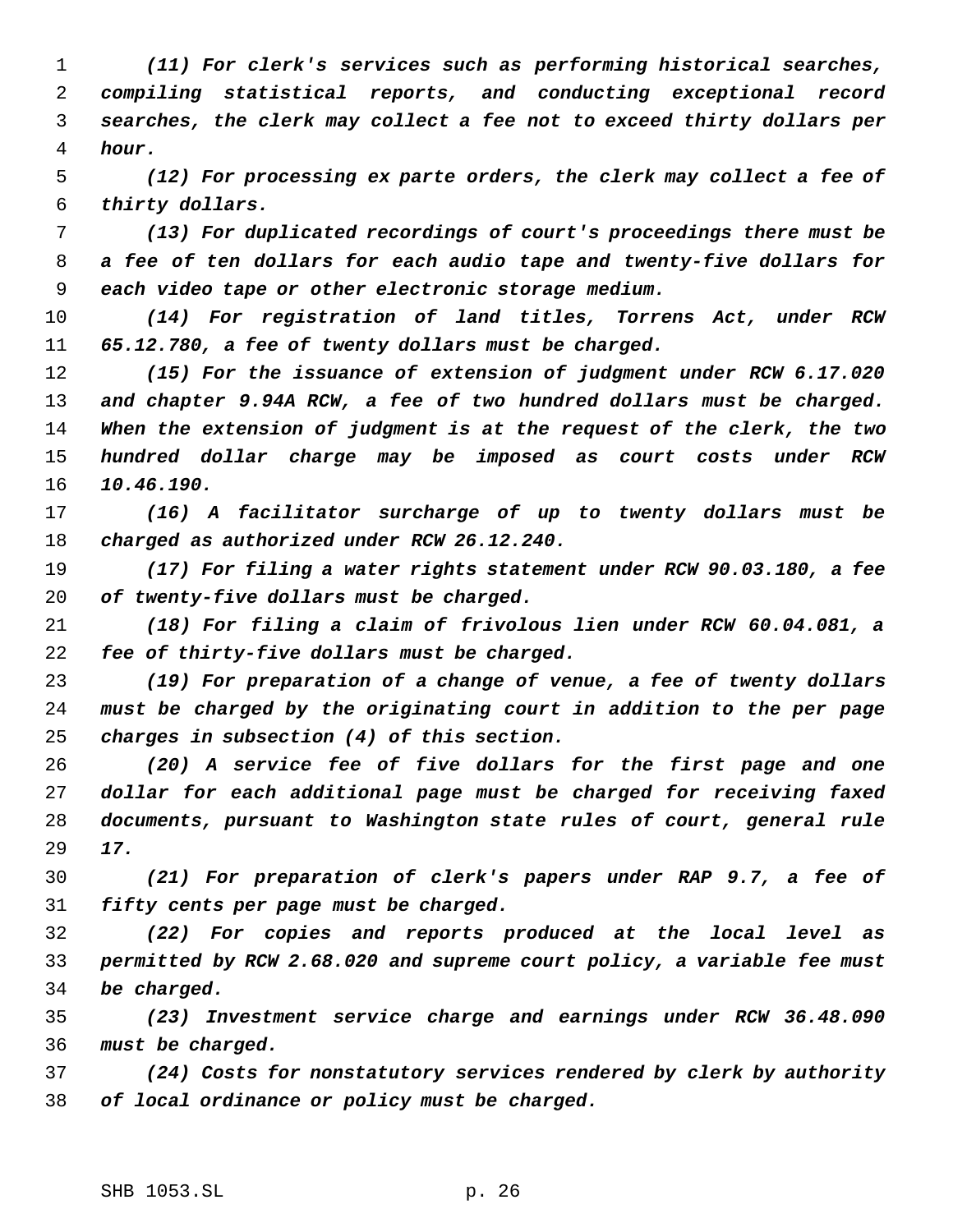*(11) For clerk's services such as performing historical searches, compiling statistical reports, and conducting exceptional record searches, the clerk may collect a fee not to exceed thirty dollars per hour.*

 *(12) For processing ex parte orders, the clerk may collect a fee of thirty dollars.*

 *(13) For duplicated recordings of court's proceedings there must be a fee of ten dollars for each audio tape and twenty-five dollars for each video tape or other electronic storage medium.*

 *(14) For registration of land titles, Torrens Act, under RCW 65.12.780, a fee of twenty dollars must be charged.*

 *(15) For the issuance of extension of judgment under RCW 6.17.020 and chapter 9.94A RCW, a fee of two hundred dollars must be charged. When the extension of judgment is at the request of the clerk, the two hundred dollar charge may be imposed as court costs under RCW 10.46.190.*

 *(16) A facilitator surcharge of up to twenty dollars must be charged as authorized under RCW 26.12.240.*

 *(17) For filing a water rights statement under RCW 90.03.180, a fee of twenty-five dollars must be charged.*

 *(18) For filing a claim of frivolous lien under RCW 60.04.081, a fee of thirty-five dollars must be charged.*

 *(19) For preparation of a change of venue, a fee of twenty dollars must be charged by the originating court in addition to the per page charges in subsection (4) of this section.*

 *(20) A service fee of five dollars for the first page and one dollar for each additional page must be charged for receiving faxed documents, pursuant to Washington state rules of court, general rule 17.*

 *(21) For preparation of clerk's papers under RAP 9.7, a fee of fifty cents per page must be charged.*

 *(22) For copies and reports produced at the local level as permitted by RCW 2.68.020 and supreme court policy, a variable fee must be charged.*

 *(23) Investment service charge and earnings under RCW 36.48.090 must be charged.*

 *(24) Costs for nonstatutory services rendered by clerk by authority of local ordinance or policy must be charged.*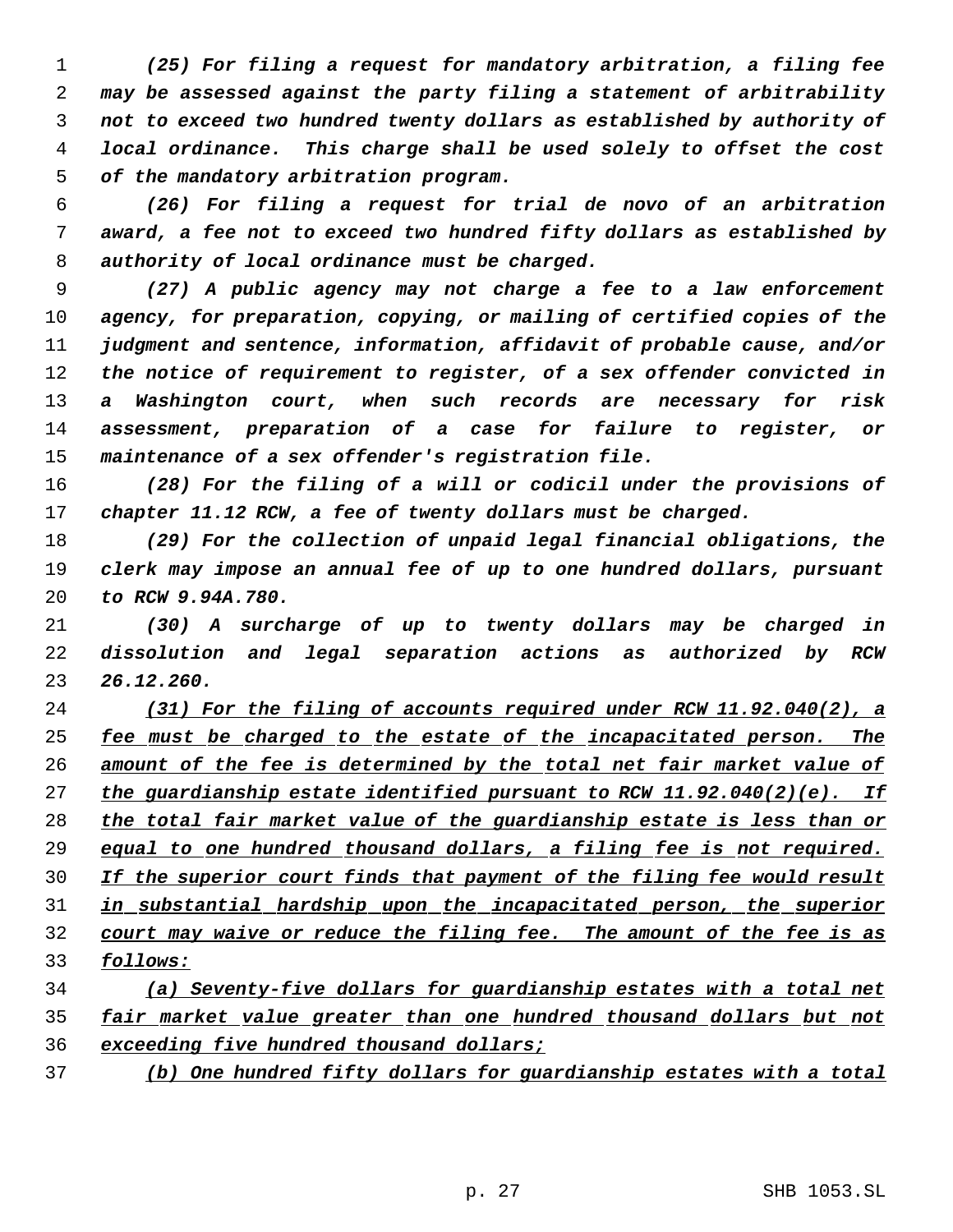*(25) For filing a request for mandatory arbitration, a filing fee may be assessed against the party filing a statement of arbitrability not to exceed two hundred twenty dollars as established by authority of local ordinance. This charge shall be used solely to offset the cost of the mandatory arbitration program.*

 *(26) For filing a request for trial de novo of an arbitration award, a fee not to exceed two hundred fifty dollars as established by authority of local ordinance must be charged.*

 *(27) A public agency may not charge a fee to a law enforcement agency, for preparation, copying, or mailing of certified copies of the judgment and sentence, information, affidavit of probable cause, and/or the notice of requirement to register, of a sex offender convicted in a Washington court, when such records are necessary for risk assessment, preparation of a case for failure to register, or maintenance of a sex offender's registration file.*

 *(28) For the filing of a will or codicil under the provisions of chapter 11.12 RCW, a fee of twenty dollars must be charged.*

 *(29) For the collection of unpaid legal financial obligations, the clerk may impose an annual fee of up to one hundred dollars, pursuant to RCW 9.94A.780.*

 *(30) A surcharge of up to twenty dollars may be charged in dissolution and legal separation actions as authorized by RCW 26.12.260.*

 *(31) For the filing of accounts required under RCW 11.92.040(2), a fee must be charged to the estate of the incapacitated person. The amount of the fee is determined by the total net fair market value of the guardianship estate identified pursuant to RCW 11.92.040(2)(e). If the total fair market value of the guardianship estate is less than or equal to one hundred thousand dollars, a filing fee is not required. If the superior court finds that payment of the filing fee would result in substantial hardship upon the incapacitated person, the superior court may waive or reduce the filing fee. The amount of the fee is as follows:*

 *(a) Seventy-five dollars for guardianship estates with a total net fair market value greater than one hundred thousand dollars but not exceeding five hundred thousand dollars;*

*(b) One hundred fifty dollars for guardianship estates with a total*